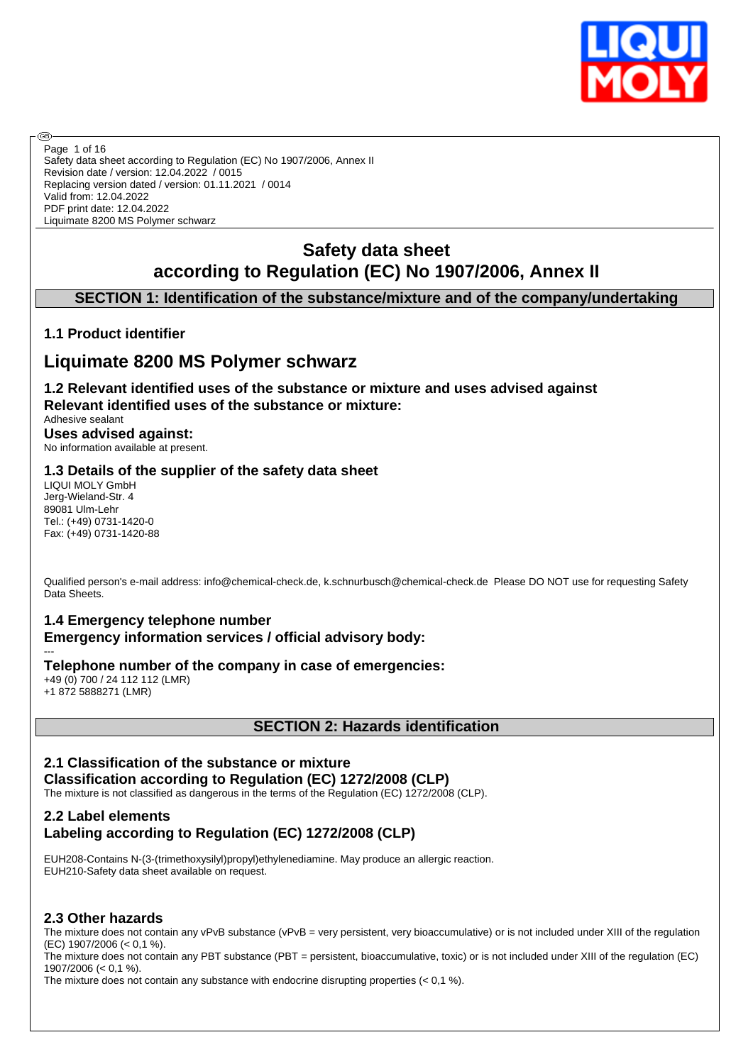

Safety data sheet according to Regulation (EC) No 1907/2006, Annex II Revision date / version: 12.04.2022 / 0015 Replacing version dated / version: 01.11.2021 / 0014 Valid from: 12.04.2022 PDF print date: 12.04.2022 Liquimate 8200 MS Polymer schwarz Page 1 of 16

# **Safety data sheet according to Regulation (EC) No 1907/2006, Annex II**

## **SECTION 1: Identification of the substance/mixture and of the company/undertaking**

## **1.1 Product identifier**

൹

# **Liquimate 8200 MS Polymer schwarz**

**1.2 Relevant identified uses of the substance or mixture and uses advised against Relevant identified uses of the substance or mixture:**

## Adhesive sealant **Uses advised against:**

No information available at present.

## **1.3 Details of the supplier of the safety data sheet**

LIQUI MOLY GmbH Jerg-Wieland-Str. 4 89081 Ulm-Lehr Tel.: (+49) 0731-1420-0 Fax: (+49) 0731-1420-88

Qualified person's e-mail address: info@chemical-check.de, k.schnurbusch@chemical-check.de Please DO NOT use for requesting Safety Data Sheets.

# **1.4 Emergency telephone number**

#### **Emergency information services / official advisory body:** ---

**Telephone number of the company in case of emergencies:**

+49 (0) 700 / 24 112 112 (LMR) +1 872 5888271 (LMR)

## **SECTION 2: Hazards identification**

### **2.1 Classification of the substance or mixture**

**Classification according to Regulation (EC) 1272/2008 (CLP)**

The mixture is not classified as dangerous in the terms of the Regulation (EC) 1272/2008 (CLP).

## **2.2 Label elements Labeling according to Regulation (EC) 1272/2008 (CLP)**

EUH208-Contains N-(3-(trimethoxysilyl)propyl)ethylenediamine. May produce an allergic reaction. EUH210-Safety data sheet available on request.

## **2.3 Other hazards**

The mixture does not contain any vPvB substance (vPvB = very persistent, very bioaccumulative) or is not included under XIII of the regulation (EC) 1907/2006 (< 0,1 %).

The mixture does not contain any PBT substance (PBT = persistent, bioaccumulative, toxic) or is not included under XIII of the regulation (EC) 1907/2006 (< 0,1 %).

The mixture does not contain any substance with endocrine disrupting properties (< 0,1 %).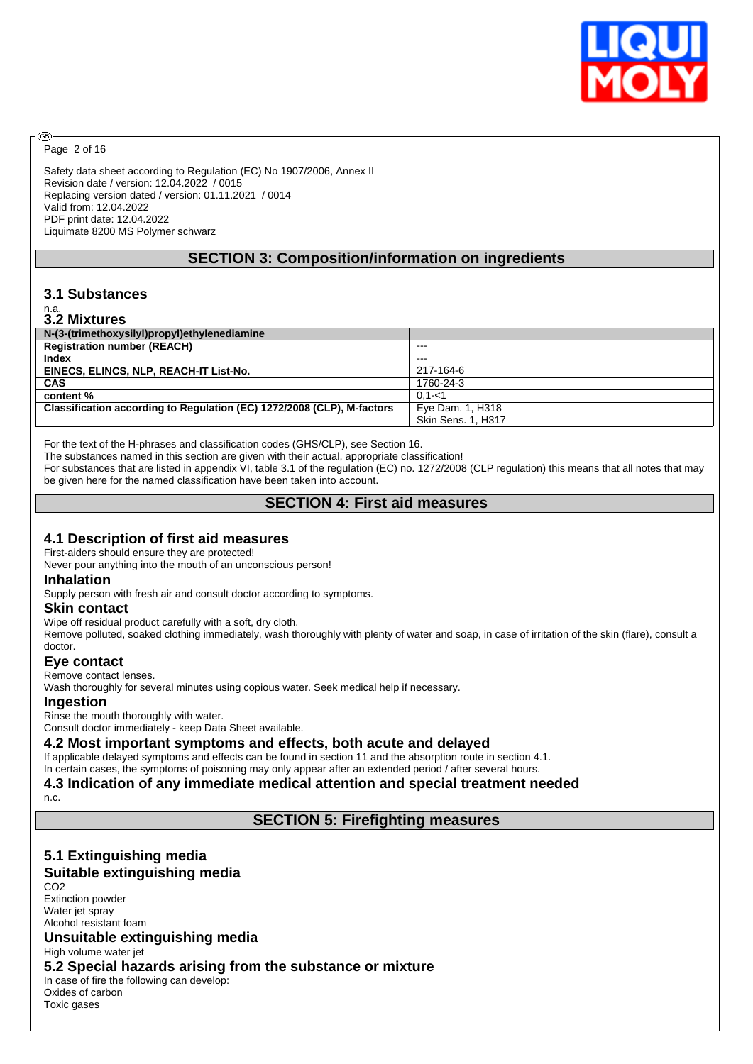

Page 2 of 16

@

Safety data sheet according to Regulation (EC) No 1907/2006, Annex II Revision date / version: 12.04.2022 / 0015 Replacing version dated / version: 01.11.2021 / 0014 Valid from: 12.04.2022 PDF print date: 12.04.2022 Liquimate 8200 MS Polymer schwarz

## **SECTION 3: Composition/information on ingredients**

## **3.1 Substances**

# n.a. **3.2 Mixtures**

| VIL MIAWIVJ                                                            |                           |
|------------------------------------------------------------------------|---------------------------|
| N-(3-(trimethoxysilyl)propyl)ethylenediamine                           |                           |
| <b>Registration number (REACH)</b>                                     | $- - -$                   |
| Index                                                                  | $- - -$                   |
| EINECS, ELINCS, NLP, REACH-IT List-No.                                 | 217-164-6                 |
| <b>CAS</b>                                                             | 1760-24-3                 |
| content %                                                              | $0.1 - 1$                 |
| Classification according to Regulation (EC) 1272/2008 (CLP), M-factors | Eye Dam. 1, H318          |
|                                                                        | <b>Skin Sens. 1. H317</b> |

For the text of the H-phrases and classification codes (GHS/CLP), see Section 16.

The substances named in this section are given with their actual, appropriate classification!

For substances that are listed in appendix VI, table 3.1 of the regulation (EC) no. 1272/2008 (CLP regulation) this means that all notes that may be given here for the named classification have been taken into account.

## **SECTION 4: First aid measures**

## **4.1 Description of first aid measures**

First-aiders should ensure they are protected!

Never pour anything into the mouth of an unconscious person!

#### **Inhalation**

Supply person with fresh air and consult doctor according to symptoms.

#### **Skin contact**

Wipe off residual product carefully with a soft, dry cloth.

Remove polluted, soaked clothing immediately, wash thoroughly with plenty of water and soap, in case of irritation of the skin (flare), consult a doctor.

## **Eye contact**

Remove contact lenses.

Wash thoroughly for several minutes using copious water. Seek medical help if necessary.

#### **Ingestion**

Rinse the mouth thoroughly with water.

Consult doctor immediately - keep Data Sheet available.

#### **4.2 Most important symptoms and effects, both acute and delayed**

If applicable delayed symptoms and effects can be found in section 11 and the absorption route in section 4.1. In certain cases, the symptoms of poisoning may only appear after an extended period / after several hours.

#### **4.3 Indication of any immediate medical attention and special treatment needed**

n.c.

### **SECTION 5: Firefighting measures**

# **5.1 Extinguishing media**

## **Suitable extinguishing media**

CO2 Extinction powder Water jet spray Alcohol resistant foam

## **Unsuitable extinguishing media**

High volume water jet

**5.2 Special hazards arising from the substance or mixture**

In case of fire the following can develop: Oxides of carbon Toxic gases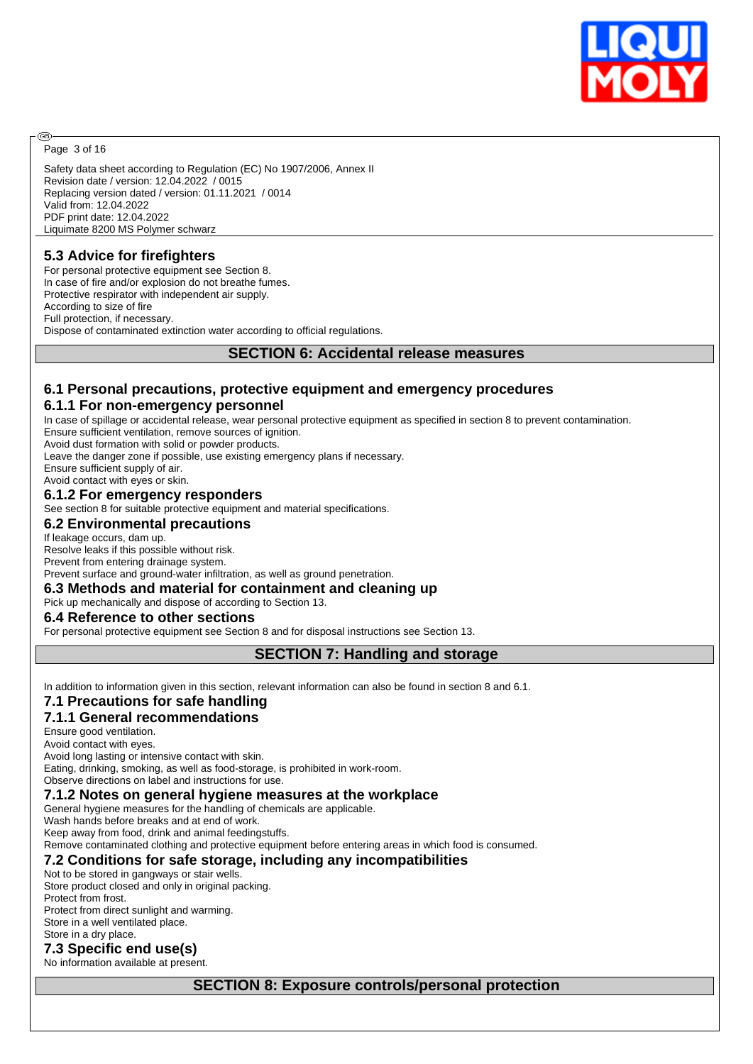

Page 3 of 16

@

Safety data sheet according to Regulation (EC) No 1907/2006, Annex II Revision date / version: 12.04.2022 / 0015 Replacing version dated / version: 01.11.2021 / 0014 Valid from: 12.04.2022 PDF print date: 12.04.2022 Liquimate 8200 MS Polymer schwarz

## **5.3 Advice for firefighters**

For personal protective equipment see Section 8. In case of fire and/or explosion do not breathe fumes. Protective respirator with independent air supply. According to size of fire Full protection, if necessary. Dispose of contaminated extinction water according to official regulations.

#### **SECTION 6: Accidental release measures**

# **6.1 Personal precautions, protective equipment and emergency procedures**

## **6.1.1 For non-emergency personnel**

In case of spillage or accidental release, wear personal protective equipment as specified in section 8 to prevent contamination. Ensure sufficient ventilation, remove sources of ignition.

Avoid dust formation with solid or powder products.

Leave the danger zone if possible, use existing emergency plans if necessary.

Ensure sufficient supply of air.

#### Avoid contact with eyes or skin. **6.1.2 For emergency responders**

See section 8 for suitable protective equipment and material specifications.

#### **6.2 Environmental precautions**

If leakage occurs, dam up.

Resolve leaks if this possible without risk. Prevent from entering drainage system.

Prevent surface and ground-water infiltration, as well as ground penetration.

### **6.3 Methods and material for containment and cleaning up**

Pick up mechanically and dispose of according to Section 13.

#### **6.4 Reference to other sections**

For personal protective equipment see Section 8 and for disposal instructions see Section 13.

### **SECTION 7: Handling and storage**

In addition to information given in this section, relevant information can also be found in section 8 and 6.1.

### **7.1 Precautions for safe handling**

## **7.1.1 General recommendations**

Ensure good ventilation.

Avoid contact with eyes. Avoid long lasting or intensive contact with skin.

Eating, drinking, smoking, as well as food-storage, is prohibited in work-room.

Observe directions on label and instructions for use.

## **7.1.2 Notes on general hygiene measures at the workplace**

General hygiene measures for the handling of chemicals are applicable.

Wash hands before breaks and at end of work.

Keep away from food, drink and animal feedingstuffs.

Remove contaminated clothing and protective equipment before entering areas in which food is consumed.

## **7.2 Conditions for safe storage, including any incompatibilities**

Not to be stored in gangways or stair wells.

Store product closed and only in original packing. Protect from frost. Protect from direct sunlight and warming. Store in a well ventilated place. Store in a dry place.

## **7.3 Specific end use(s)**

No information available at present.

# **SECTION 8: Exposure controls/personal protection**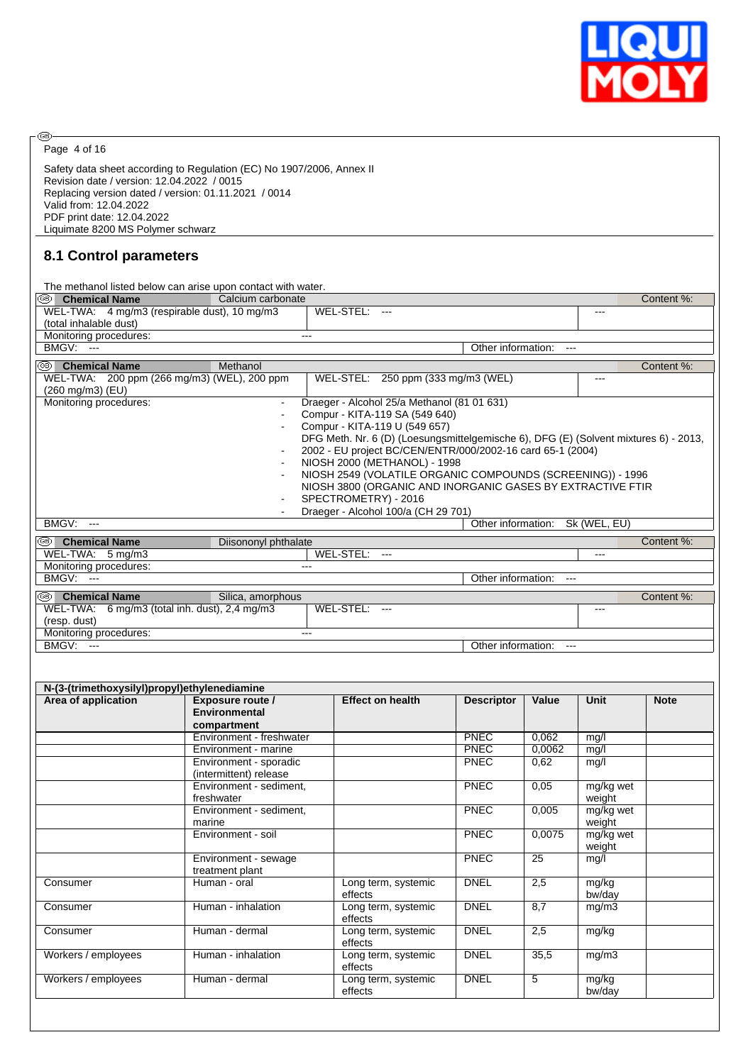

 $\circledcirc$ Page 4 of 16

Safety data sheet according to Regulation (EC) No 1907/2006, Annex II Revision date / version: 12.04.2022 / 0015 Replacing version dated / version: 01.11.2021 / 0014 Valid from: 12.04.2022 PDF print date: 12.04.2022 Liquimate 8200 MS Polymer schwarz

## **8.1 Control parameters**

| @8) <br><b>Chemical Name</b>                                                                 | Calcium carbonate                                |                                                                                                                                                                                                                                                                                                                                                                                                                                                                                                 |                    |                 |                     | Content %:  |  |  |
|----------------------------------------------------------------------------------------------|--------------------------------------------------|-------------------------------------------------------------------------------------------------------------------------------------------------------------------------------------------------------------------------------------------------------------------------------------------------------------------------------------------------------------------------------------------------------------------------------------------------------------------------------------------------|--------------------|-----------------|---------------------|-------------|--|--|
| (total inhalable dust)                                                                       | WEL-TWA: 4 mg/m3 (respirable dust), 10 mg/m3     | WEL-STEL: ---                                                                                                                                                                                                                                                                                                                                                                                                                                                                                   |                    |                 | $---$               |             |  |  |
| Monitoring procedures:<br><b>BMGV: ---</b>                                                   |                                                  | $\qquad \qquad -$                                                                                                                                                                                                                                                                                                                                                                                                                                                                               |                    |                 |                     |             |  |  |
| <sup>68</sup> Chemical Name                                                                  | Methanol                                         | Other information: ---<br>Content %:                                                                                                                                                                                                                                                                                                                                                                                                                                                            |                    |                 |                     |             |  |  |
| WEL-TWA: 200 ppm (266 mg/m3) (WEL), 200 ppm                                                  |                                                  | WEL-STEL: 250 ppm (333 mg/m3 (WEL)                                                                                                                                                                                                                                                                                                                                                                                                                                                              |                    |                 | $---$               |             |  |  |
| (260 mg/m3) (EU)                                                                             |                                                  |                                                                                                                                                                                                                                                                                                                                                                                                                                                                                                 |                    |                 |                     |             |  |  |
| Monitoring procedures:                                                                       | $\blacksquare$                                   | Draeger - Alcohol 25/a Methanol (81 01 631)<br>Compur - KITA-119 SA (549 640)<br>Compur - KITA-119 U (549 657)<br>DFG Meth. Nr. 6 (D) (Loesungsmittelgemische 6), DFG (E) (Solvent mixtures 6) - 2013,<br>2002 - EU project BC/CEN/ENTR/000/2002-16 card 65-1 (2004)<br>NIOSH 2000 (METHANOL) - 1998<br>NIOSH 2549 (VOLATILE ORGANIC COMPOUNDS (SCREENING)) - 1996<br>NIOSH 3800 (ORGANIC AND INORGANIC GASES BY EXTRACTIVE FTIR<br>SPECTROMETRY) - 2016<br>Draeger - Alcohol 100/a (CH 29 701) |                    |                 |                     |             |  |  |
| <b>BMGV: ---</b>                                                                             |                                                  |                                                                                                                                                                                                                                                                                                                                                                                                                                                                                                 | Other information: |                 | Sk (WEL, EU)        |             |  |  |
| <sup>6</sup> Chemical Name<br>$WEL-TWA: 5 mg/m3$                                             | Diisononyl phthalate                             |                                                                                                                                                                                                                                                                                                                                                                                                                                                                                                 |                    |                 |                     | Content %:  |  |  |
| Monitoring procedures:                                                                       |                                                  | WEL-STEL: ---                                                                                                                                                                                                                                                                                                                                                                                                                                                                                   |                    |                 | $---$               |             |  |  |
| <b>BMGV: ---</b>                                                                             |                                                  |                                                                                                                                                                                                                                                                                                                                                                                                                                                                                                 | Other information: | $---$           |                     |             |  |  |
| <sup>68</sup> Chemical Name<br>WEL-TWA: 6 mg/m3 (total inh. dust), 2,4 mg/m3<br>(resp. dust) | Silica, amorphous                                | WEL-STEL: ---                                                                                                                                                                                                                                                                                                                                                                                                                                                                                   |                    |                 | ---                 | Content %:  |  |  |
|                                                                                              |                                                  | $---$                                                                                                                                                                                                                                                                                                                                                                                                                                                                                           |                    |                 |                     |             |  |  |
| Monitoring procedures:<br><b>BMGV: ---</b>                                                   |                                                  |                                                                                                                                                                                                                                                                                                                                                                                                                                                                                                 | Other information: |                 |                     |             |  |  |
|                                                                                              | Exposure route /<br><b>Environmental</b>         | <b>Effect on health</b>                                                                                                                                                                                                                                                                                                                                                                                                                                                                         | <b>Descriptor</b>  | Value           | Unit                | <b>Note</b> |  |  |
| N-(3-(trimethoxysilyl)propyl)ethylenediamine<br>Area of application                          | compartment<br>Environment - freshwater          |                                                                                                                                                                                                                                                                                                                                                                                                                                                                                                 | <b>PNEC</b>        | 0.062           | mq/l                |             |  |  |
|                                                                                              | Environment - marine                             |                                                                                                                                                                                                                                                                                                                                                                                                                                                                                                 | PNEC               | 0,0062          | mg/l                |             |  |  |
|                                                                                              | Environment - sporadic<br>(intermittent) release |                                                                                                                                                                                                                                                                                                                                                                                                                                                                                                 | PNEC               | 0,62            | mg/l                |             |  |  |
|                                                                                              | Environment - sediment,<br>freshwater            |                                                                                                                                                                                                                                                                                                                                                                                                                                                                                                 | <b>PNEC</b>        | 0,05            | mg/kg wet<br>weight |             |  |  |
|                                                                                              | Environment - sediment,<br>marine                |                                                                                                                                                                                                                                                                                                                                                                                                                                                                                                 | <b>PNEC</b>        | 0,005           | mg/kg wet<br>weight |             |  |  |
|                                                                                              | Environment - soil                               |                                                                                                                                                                                                                                                                                                                                                                                                                                                                                                 | <b>PNEC</b>        | 0,0075          | mg/kg wet           |             |  |  |
|                                                                                              | Environment - sewage<br>treatment plant          |                                                                                                                                                                                                                                                                                                                                                                                                                                                                                                 | <b>PNEC</b>        | $\overline{25}$ | weight<br>mg/l      |             |  |  |
|                                                                                              | Human - oral                                     | Long term, systemic<br>effects                                                                                                                                                                                                                                                                                                                                                                                                                                                                  | <b>DNEL</b>        | 2,5             | mg/kg<br>bw/day     |             |  |  |
| Consumer<br>Consumer                                                                         | Human - inhalation                               | Long term, systemic<br>effects                                                                                                                                                                                                                                                                                                                                                                                                                                                                  | <b>DNEL</b>        | 8,7             | mg/m3               |             |  |  |
|                                                                                              | Human - dermal                                   | Long term, systemic<br>effects                                                                                                                                                                                                                                                                                                                                                                                                                                                                  | <b>DNEL</b>        | 2,5             | mg/kg               |             |  |  |
| Consumer<br>Workers / employees                                                              | Human - inhalation                               | Long term, systemic<br>effects                                                                                                                                                                                                                                                                                                                                                                                                                                                                  | <b>DNEL</b>        | 35,5            | mg/m3               |             |  |  |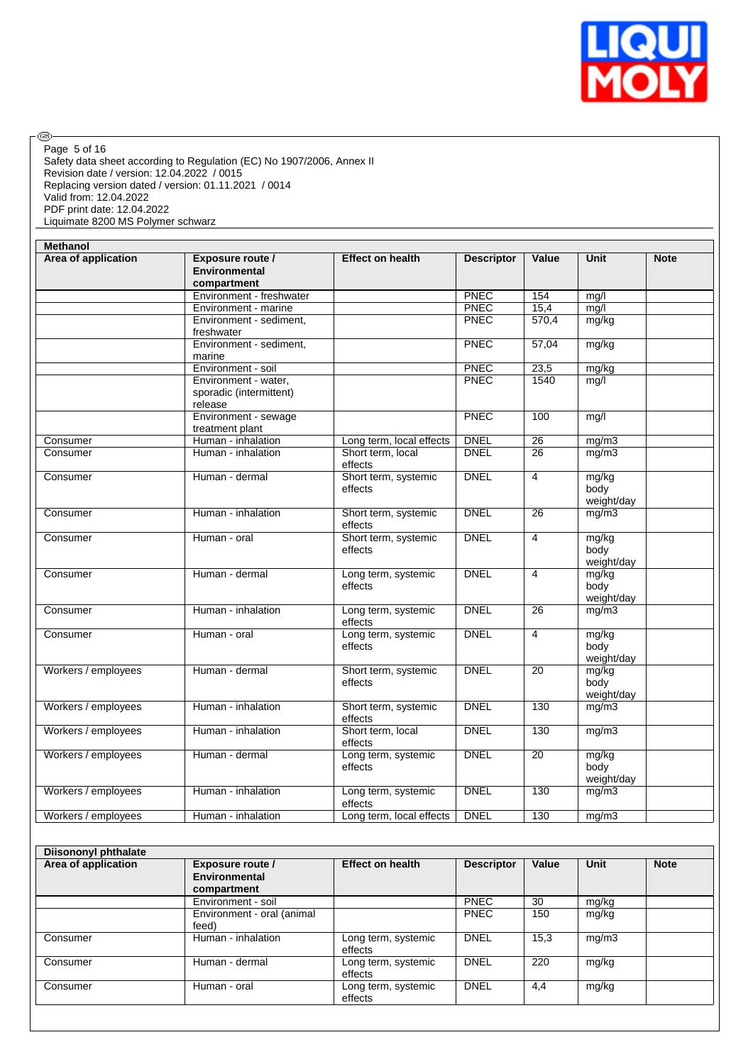

◉ Page 5 of 16

Safety data sheet according to Regulation (EC) No 1907/2006, Annex II Revision date / version: 12.04.2022 / 0015 Replacing version dated / version: 01.11.2021 / 0014 Valid from: 12.04.2022 PDF print date: 12.04.2022 Liquimate 8200 MS Polymer schwarz

feed)<br>Human - inhalation

Consumer Human - inhalation Long term, systemic

Consumer Human - dermal Long term, systemic

Consumer Human - oral Long term, systemic

| <b>Methanol</b>             |                                                            |                                 |                   |                 |                             |             |
|-----------------------------|------------------------------------------------------------|---------------------------------|-------------------|-----------------|-----------------------------|-------------|
| Area of application         | Exposure route /<br><b>Environmental</b><br>compartment    | <b>Effect on health</b>         | <b>Descriptor</b> | Value           | Unit                        | <b>Note</b> |
|                             | Environment - freshwater                                   |                                 | PNEC              | 154             | mg/l                        |             |
|                             | Environment - marine                                       |                                 | PNEC              | 15,4            | mg/l                        |             |
|                             | Environment - sediment,<br>freshwater                      |                                 | PNEC              | 570,4           | mg/kg                       |             |
|                             | Environment - sediment,<br>marine                          |                                 | PNEC              | 57,04           | mg/kg                       |             |
|                             | Environment - soil                                         |                                 | PNEC              | 23,5            | mg/kg                       |             |
|                             | Environment - water.<br>sporadic (intermittent)<br>release |                                 | PNEC              | 1540            | mg/l                        |             |
|                             | Environment - sewage<br>treatment plant                    |                                 | <b>PNEC</b>       | 100             | mg/l                        |             |
| Consumer                    | Human - inhalation                                         | Long term, local effects        | <b>DNEL</b>       | $\overline{26}$ | mg/m3                       |             |
| Consumer                    | Human - inhalation                                         | Short term, local<br>effects    | <b>DNEL</b>       | $\overline{26}$ | mg/m3                       |             |
| Consumer                    | Human - dermal                                             | Short term, systemic<br>effects | <b>DNEL</b>       | $\overline{4}$  | mg/kg<br>body<br>weight/day |             |
| Consumer                    | Human - inhalation                                         | Short term, systemic<br>effects | <b>DNEL</b>       | 26              | mg/m3                       |             |
| Consumer                    | Human - oral                                               | Short term, systemic<br>effects | <b>DNEL</b>       | $\overline{4}$  | mg/kg<br>body<br>weight/day |             |
| Consumer                    | Human - dermal                                             | Long term, systemic<br>effects  | <b>DNEL</b>       | 4               | mg/kg<br>body<br>weight/day |             |
| Consumer                    | Human - inhalation                                         | Long term, systemic<br>effects  | <b>DNEL</b>       | 26              | mg/m3                       |             |
| Consumer                    | Human - oral                                               | Long term, systemic<br>effects  | <b>DNEL</b>       | $\overline{4}$  | mg/kg<br>body<br>weight/day |             |
| Workers / employees         | Human - dermal                                             | Short term, systemic<br>effects | <b>DNEL</b>       | 20              | mg/kg<br>body<br>weight/day |             |
| Workers / employees         | Human - inhalation                                         | Short term, systemic<br>effects | <b>DNEL</b>       | 130             | mg/m3                       |             |
| Workers / employees         | Human - inhalation                                         | Short term, local<br>effects    | <b>DNEL</b>       | 130             | mg/m3                       |             |
| Workers / employees         | Human - dermal                                             | Long term, systemic<br>effects  | <b>DNEL</b>       | 20              | mg/kg<br>body<br>weight/day |             |
| Workers / employees         | Human - inhalation                                         | Long term, systemic<br>effects  | <b>DNEL</b>       | 130             | mg/m3                       |             |
| Workers / employees         | Human - inhalation                                         | Long term, local effects        | <b>DNEL</b>       | 130             | mg/m3                       |             |
| <b>Diisononyl phthalate</b> |                                                            |                                 |                   |                 |                             |             |
| Area of application         | Exposure route /<br>Environmental<br>compartment           | <b>Effect on health</b>         | <b>Descriptor</b> | Value           | <b>Unit</b>                 | <b>Note</b> |
|                             | Environment - soil                                         |                                 | <b>PNEC</b>       | 30              | mg/kg                       |             |
|                             | Environment - oral (animal                                 |                                 | <b>PNEC</b>       | 150             | mg/kg                       |             |
|                             |                                                            |                                 |                   |                 |                             |             |

effects

effects

effects

DNEL 15,3 mg/m3

DNEL 220 mg/kg

DNEL 4,4 mg/kg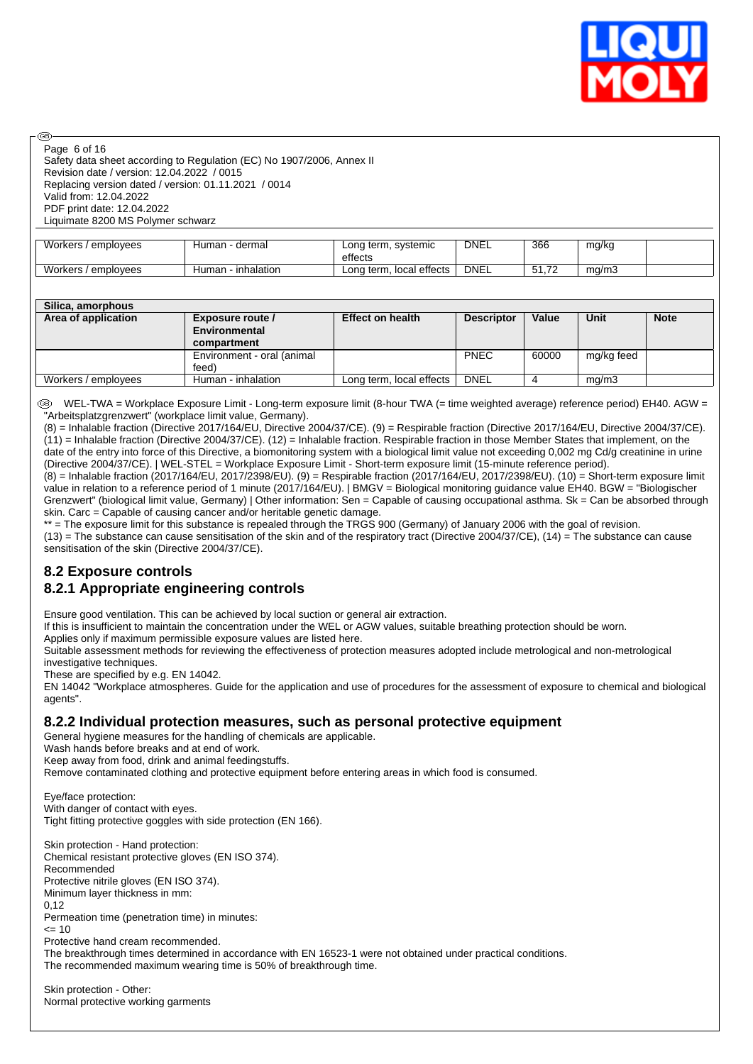

Page 6 of 16

രി

Safety data sheet according to Regulation (EC) No 1907/2006, Annex II Revision date / version: 12.04.2022 / 0015 Replacing version dated / version: 01.11.2021 / 0014 Valid from: 12.04.2022 PDF print date: 12.04.2022 Liquimate 8200 MS Polymer schwarz

| Workers /<br>' emplovees | dermal<br>Human - c | Long term, systemic<br>effects | <b>DNEL</b> | 366                                     | mg/kg |  |
|--------------------------|---------------------|--------------------------------|-------------|-----------------------------------------|-------|--|
| Workers /<br>/ emplovees | inhalation<br>Human | Long term, local effects       | <b>DNEL</b> | $\overline{\phantom{a}}$<br><b>JI.I</b> | ma/m3 |  |

| Silica, amorphous   |                            |                          |                   |       |            |             |
|---------------------|----------------------------|--------------------------|-------------------|-------|------------|-------------|
| Area of application | Exposure route /           | <b>Effect on health</b>  | <b>Descriptor</b> | Value | Unit       | <b>Note</b> |
|                     | Environmental              |                          |                   |       |            |             |
|                     | compartment                |                          |                   |       |            |             |
|                     | Environment - oral (animal |                          | <b>PNEC</b>       | 60000 | mg/kg feed |             |
|                     | feed)                      |                          |                   |       |            |             |
| Workers / employees | Human - inhalation         | Long term, local effects | <b>DNEL</b>       |       | mq/m3      |             |

 WEL-TWA = Workplace Exposure Limit - Long-term exposure limit (8-hour TWA (= time weighted average) reference period) EH40. AGW = "Arbeitsplatzgrenzwert" (workplace limit value, Germany).

(8) = Inhalable fraction (Directive 2017/164/EU, Directive 2004/37/CE). (9) = Respirable fraction (Directive 2017/164/EU, Directive 2004/37/CE).  $(11)$  = Inhalable fraction (Directive 2004/37/CE). (12) = Inhalable fraction. Respirable fraction in those Member States that implement, on the date of the entry into force of this Directive, a biomonitoring system with a biological limit value not exceeding 0,002 mg Cd/g creatinine in urine (Directive 2004/37/CE). | WEL-STEL = Workplace Exposure Limit - Short-term exposure limit (15-minute reference period).

(8) = Inhalable fraction (2017/164/EU, 2017/2398/EU). (9) = Respirable fraction (2017/164/EU, 2017/2398/EU). (10) = Short-term exposure limit value in relation to a reference period of 1 minute (2017/164/EU). | BMGV = Biological monitoring guidance value EH40. BGW = "Biologischer Grenzwert" (biological limit value, Germany) | Other information: Sen = Capable of causing occupational asthma. Sk = Can be absorbed through skin. Carc = Capable of causing cancer and/or heritable genetic damage.

\*\* = The exposure limit for this substance is repealed through the TRGS 900 (Germany) of January 2006 with the goal of revision.

(13) = The substance can cause sensitisation of the skin and of the respiratory tract (Directive 2004/37/CE), (14) = The substance can cause sensitisation of the skin (Directive 2004/37/CE).

## **8.2 Exposure controls 8.2.1 Appropriate engineering controls**

Ensure good ventilation. This can be achieved by local suction or general air extraction.

If this is insufficient to maintain the concentration under the WEL or AGW values, suitable breathing protection should be worn.

Applies only if maximum permissible exposure values are listed here.

Suitable assessment methods for reviewing the effectiveness of protection measures adopted include metrological and non-metrological investigative techniques.

These are specified by e.g. EN 14042.

EN 14042 "Workplace atmospheres. Guide for the application and use of procedures for the assessment of exposure to chemical and biological agents".

### **8.2.2 Individual protection measures, such as personal protective equipment**

General hygiene measures for the handling of chemicals are applicable.

Wash hands before breaks and at end of work.

Keep away from food, drink and animal feedingstuffs.

Remove contaminated clothing and protective equipment before entering areas in which food is consumed.

Eye/face protection: With danger of contact with eyes. Tight fitting protective goggles with side protection (EN 166).

Skin protection - Hand protection: Chemical resistant protective gloves (EN ISO 374). Recommended Protective nitrile gloves (EN ISO 374). Minimum layer thickness in mm:

0,12

Permeation time (penetration time) in minutes:

 $= 10$ 

Protective hand cream recommended.

The breakthrough times determined in accordance with EN 16523-1 were not obtained under practical conditions. The recommended maximum wearing time is 50% of breakthrough time.

Skin protection - Other: Normal protective working garments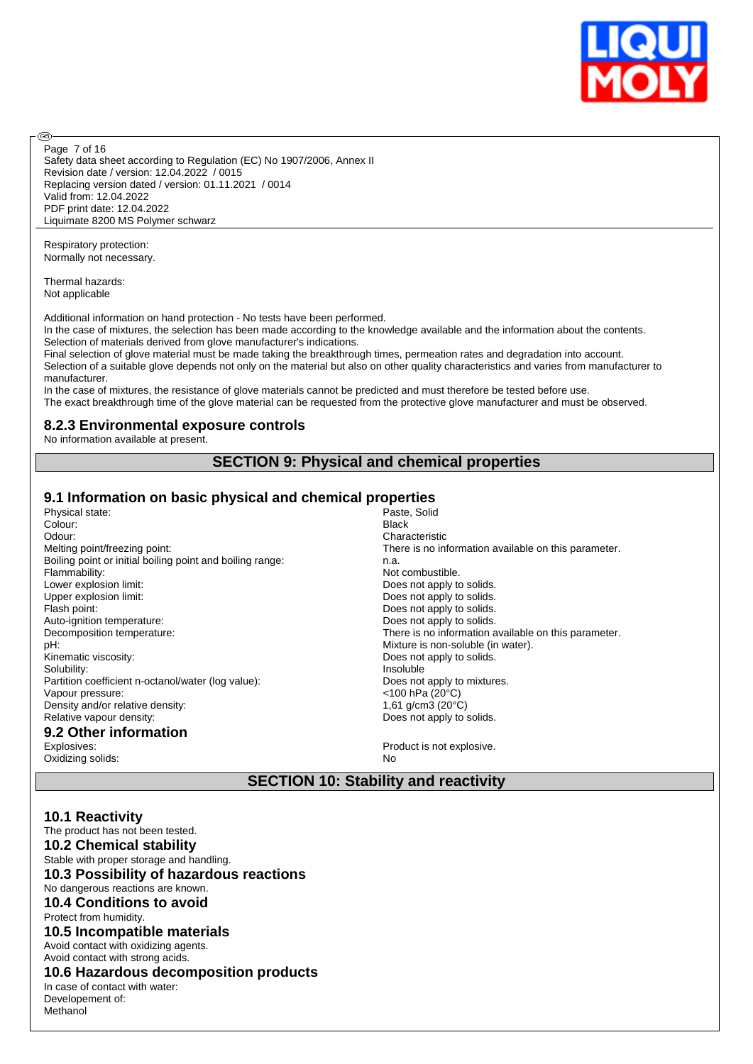

Page 7 of 16

൹

Safety data sheet according to Regulation (EC) No 1907/2006, Annex II Revision date / version: 12.04.2022 / 0015 Replacing version dated / version: 01.11.2021 / 0014 Valid from: 12.04.2022 PDF print date: 12.04.2022 Liquimate 8200 MS Polymer schwarz

Respiratory protection: Normally not necessary.

Thermal hazards: Not applicable

Additional information on hand protection - No tests have been performed.

In the case of mixtures, the selection has been made according to the knowledge available and the information about the contents. Selection of materials derived from glove manufacturer's indications.

Final selection of glove material must be made taking the breakthrough times, permeation rates and degradation into account. Selection of a suitable glove depends not only on the material but also on other quality characteristics and varies from manufacturer to manufacturer.

In the case of mixtures, the resistance of glove materials cannot be predicted and must therefore be tested before use. The exact breakthrough time of the glove material can be requested from the protective glove manufacturer and must be observed.

## **8.2.3 Environmental exposure controls**

No information available at present.

## **SECTION 9: Physical and chemical properties**

# **9.1 Information on basic physical and chemical properties**

Physical state: Colour: Black Odour: Characteristic Boiling point or initial boiling point and boiling range: n.a.<br>Flammability: Not Lower explosion limit: Does not apply to solids. Upper explosion limit:  $\qquad \qquad$  Does not apply to solids. Flash point: The point of the control of the control of the Does not apply to solids. Auto-ignition temperature:  $\qquad \qquad$  Does not apply to solids. pH:<br>
pH: Mixture is non-soluble (in water).<br>
Kinematic viscosity:<br>
Kinematic viscosity: Solubility: Insoluble Partition coefficient n-octanol/water (log value): Does not apply to mixtures. Vapour pressure: <100 hPa (20°C) Density and/or relative density:  $1,61 \text{ g/cm}^3 \text{ (20°C)}$ <br>Relative vapour density:  $1,61 \text{ g/cm}^3 \text{ (20°C)}$ 

# **9.2 Other information**

Oxidizing solids: No

Melting point/freezing point: There is no information available on this parameter. Not combustible. Decomposition temperature: There is no information available on this parameter. Does not apply to solids. Does not apply to solids.

Product is not explosive.

## **SECTION 10: Stability and reactivity**

### **10.1 Reactivity**

The product has not been tested. **10.2 Chemical stability** Stable with proper storage and handling. **10.3 Possibility of hazardous reactions** No dangerous reactions are known. **10.4 Conditions to avoid** Protect from humidity. **10.5 Incompatible materials** Avoid contact with oxidizing agents. Avoid contact with strong acids. **10.6 Hazardous decomposition products** In case of contact with water: Developement of: Methanol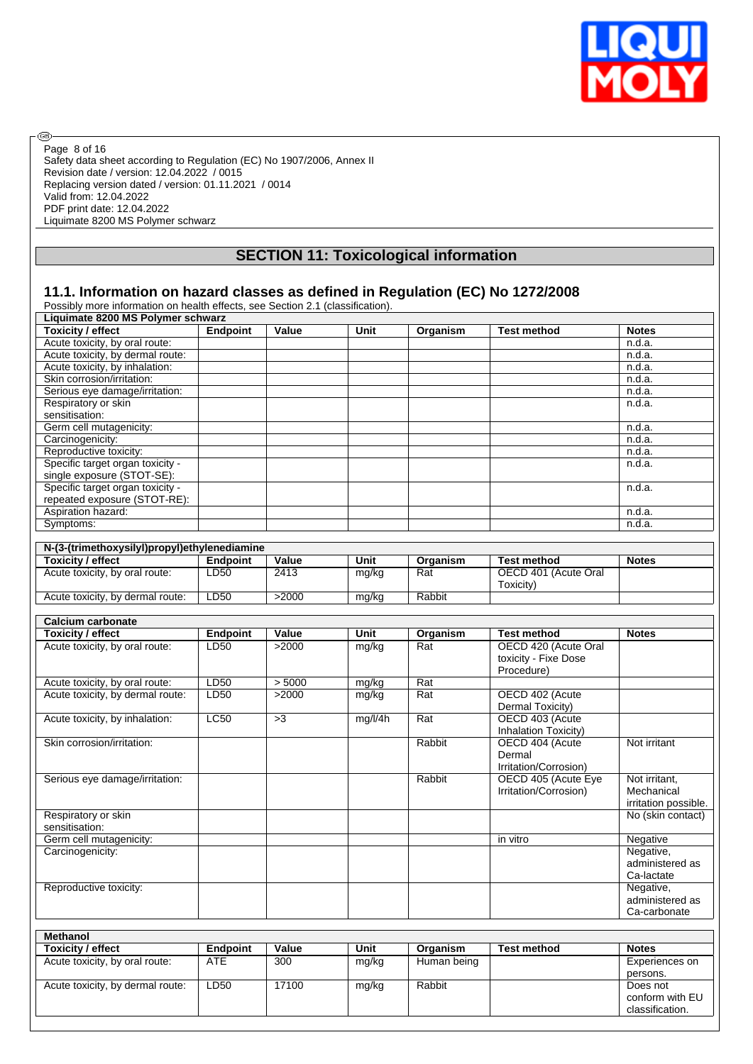

conform with EU classification.

Safety data sheet according to Regulation (EC) No 1907/2006, Annex II Revision date / version: 12.04.2022 / 0015 Replacing version dated / version: 01.11.2021 / 0014 Valid from: 12.04.2022 PDF print date: 12.04.2022 Liquimate 8200 MS Polymer schwarz Page 8 of 16

 $\circledcirc$ 

# **SECTION 11: Toxicological information**

## **11.1. Information on hazard classes as defined in Regulation (EC) No 1272/2008**

| Liquimate 8200 MS Polymer schwarz            |                 |        |         |                  |                       |                      |
|----------------------------------------------|-----------------|--------|---------|------------------|-----------------------|----------------------|
| <b>Toxicity / effect</b>                     | <b>Endpoint</b> | Value  | Unit    | Organism         | <b>Test method</b>    | <b>Notes</b>         |
| Acute toxicity, by oral route:               |                 |        |         |                  |                       | n.d.a.               |
| Acute toxicity, by dermal route:             |                 |        |         |                  |                       | n.d.a.               |
| Acute toxicity, by inhalation:               |                 |        |         |                  |                       | n.d.a.               |
| Skin corrosion/irritation:                   |                 |        |         |                  |                       | n.d.a.               |
| Serious eye damage/irritation:               |                 |        |         |                  |                       | n.d.a.               |
| Respiratory or skin                          |                 |        |         |                  |                       | n.d.a.               |
| sensitisation:                               |                 |        |         |                  |                       |                      |
| Germ cell mutagenicity:                      |                 |        |         |                  |                       | n.d.a.               |
| Carcinogenicity:                             |                 |        |         |                  |                       | n.d.a.               |
| Reproductive toxicity:                       |                 |        |         |                  |                       | n.d.a.               |
| Specific target organ toxicity -             |                 |        |         |                  |                       | n.d.a.               |
| single exposure (STOT-SE):                   |                 |        |         |                  |                       |                      |
| Specific target organ toxicity -             |                 |        |         |                  |                       | n.d.a.               |
| repeated exposure (STOT-RE):                 |                 |        |         |                  |                       |                      |
| Aspiration hazard:                           |                 |        |         |                  |                       | n.d.a.               |
| Symptoms:                                    |                 |        |         |                  |                       | n.d.a.               |
|                                              |                 |        |         |                  |                       |                      |
| N-(3-(trimethoxysilyl)propyl)ethylenediamine |                 |        |         |                  |                       |                      |
| <b>Toxicity / effect</b>                     | Endpoint        | Value  | Unit    | Organism         | <b>Test method</b>    | <b>Notes</b>         |
| Acute toxicity, by oral route:               | LD50            | 2413   | mg/kg   | Rat              | OECD 401 (Acute Oral  |                      |
|                                              |                 |        |         |                  | Toxicity)             |                      |
| Acute toxicity, by dermal route:             | LD50            | >2000  | mg/kg   | Rabbit           |                       |                      |
|                                              |                 |        |         |                  |                       |                      |
| <b>Calcium carbonate</b>                     |                 |        |         |                  |                       |                      |
| <b>Toxicity / effect</b>                     | <b>Endpoint</b> | Value  | Unit    | Organism         | <b>Test method</b>    | <b>Notes</b>         |
| Acute toxicity, by oral route:               | LD50            | >2000  | mg/kg   | Rat              | OECD 420 (Acute Oral  |                      |
|                                              |                 |        |         |                  | toxicity - Fixe Dose  |                      |
|                                              |                 |        |         |                  | Procedure)            |                      |
| Acute toxicity, by oral route:               | LD50            | > 5000 | mg/kg   | Rat              |                       |                      |
| Acute toxicity, by dermal route:             | LD50            | >2000  | mg/kg   | $\overline{Rat}$ | OECD 402 (Acute       |                      |
|                                              |                 |        |         |                  | Dermal Toxicity)      |                      |
| Acute toxicity, by inhalation:               | LC50            | >3     | mg/l/4h | Rat              | OECD 403 (Acute       |                      |
|                                              |                 |        |         |                  | Inhalation Toxicity)  |                      |
| Skin corrosion/irritation:                   |                 |        |         | Rabbit           | OECD 404 (Acute       | Not irritant         |
|                                              |                 |        |         |                  | Dermal                |                      |
|                                              |                 |        |         |                  | Irritation/Corrosion) |                      |
| Serious eye damage/irritation:               |                 |        |         | Rabbit           | OECD 405 (Acute Eye   | Not irritant,        |
|                                              |                 |        |         |                  | Irritation/Corrosion) | Mechanical           |
|                                              |                 |        |         |                  |                       | irritation possible. |
| Respiratory or skin                          |                 |        |         |                  |                       | No (skin contact)    |
| sensitisation:                               |                 |        |         |                  |                       |                      |
| Germ cell mutagenicity:                      |                 |        |         |                  | in vitro              | Negative             |
| Carcinogenicity:                             |                 |        |         |                  |                       | Negative,            |
|                                              |                 |        |         |                  |                       |                      |
|                                              |                 |        |         |                  |                       | administered as      |
|                                              |                 |        |         |                  |                       | Ca-lactate           |
| Reproductive toxicity:                       |                 |        |         |                  |                       | Negative,            |
|                                              |                 |        |         |                  |                       | administered as      |
|                                              |                 |        |         |                  |                       | Ca-carbonate         |
| <b>Methanol</b>                              |                 |        |         |                  |                       |                      |
| <b>Toxicity / effect</b>                     | <b>Endpoint</b> | Value  | Unit    | Organism         | <b>Test method</b>    | <b>Notes</b>         |
| Acute toxicity, by oral route:               | <b>ATE</b>      | 300    | mg/kg   | Human being      |                       | Experiences on       |
|                                              |                 |        |         |                  |                       |                      |
|                                              |                 |        |         |                  |                       | persons.             |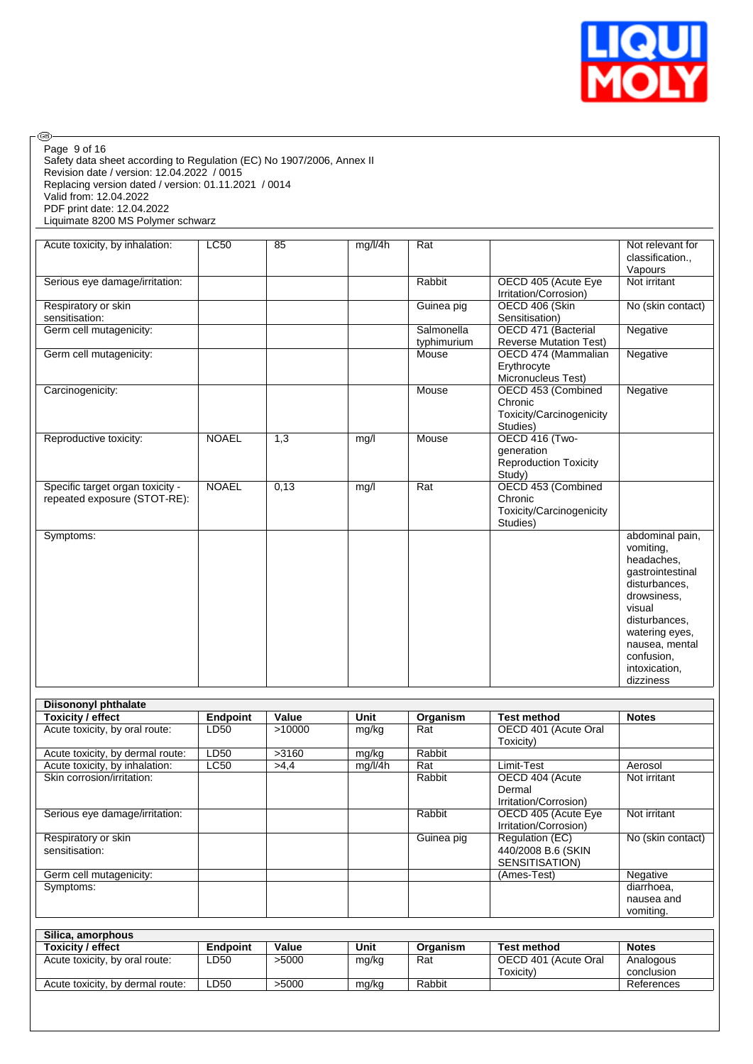

| @)                                                                                                                                                                                                                    |                 |        |         |                           |                                                      |                                                                                                                                                                           |
|-----------------------------------------------------------------------------------------------------------------------------------------------------------------------------------------------------------------------|-----------------|--------|---------|---------------------------|------------------------------------------------------|---------------------------------------------------------------------------------------------------------------------------------------------------------------------------|
| Page 9 of 16<br>Safety data sheet according to Regulation (EC) No 1907/2006, Annex II<br>Revision date / version: 12.04.2022 / 0015<br>Replacing version dated / version: 01.11.2021 / 0014<br>Valid from: 12.04.2022 |                 |        |         |                           |                                                      |                                                                                                                                                                           |
| PDF print date: 12.04.2022<br>Liquimate 8200 MS Polymer schwarz                                                                                                                                                       |                 |        |         |                           |                                                      |                                                                                                                                                                           |
|                                                                                                                                                                                                                       |                 |        |         |                           |                                                      |                                                                                                                                                                           |
| Acute toxicity, by inhalation:                                                                                                                                                                                        | <b>LC50</b>     | 85     | mg/l/4h | Rat                       |                                                      | Not relevant for<br>classification.,                                                                                                                                      |
|                                                                                                                                                                                                                       |                 |        |         |                           |                                                      | Vapours                                                                                                                                                                   |
| Serious eye damage/irritation:                                                                                                                                                                                        |                 |        |         | Rabbit                    | OECD 405 (Acute Eye<br>Irritation/Corrosion)         | Not irritant                                                                                                                                                              |
| Respiratory or skin                                                                                                                                                                                                   |                 |        |         | Guinea pig                | OECD 406 (Skin                                       | No (skin contact)                                                                                                                                                         |
| sensitisation:                                                                                                                                                                                                        |                 |        |         |                           | Sensitisation)                                       |                                                                                                                                                                           |
| Germ cell mutagenicity:                                                                                                                                                                                               |                 |        |         | Salmonella<br>typhimurium | OECD 471 (Bacterial<br><b>Reverse Mutation Test)</b> | Negative                                                                                                                                                                  |
| Germ cell mutagenicity:                                                                                                                                                                                               |                 |        |         | Mouse                     | OECD 474 (Mammalian                                  | Negative                                                                                                                                                                  |
|                                                                                                                                                                                                                       |                 |        |         |                           | Erythrocyte<br>Micronucleus Test)                    |                                                                                                                                                                           |
| Carcinogenicity:                                                                                                                                                                                                      |                 |        |         | Mouse                     | OECD 453 (Combined                                   | Negative                                                                                                                                                                  |
|                                                                                                                                                                                                                       |                 |        |         |                           | Chronic<br>Toxicity/Carcinogenicity<br>Studies)      |                                                                                                                                                                           |
| Reproductive toxicity:                                                                                                                                                                                                | <b>NOAEL</b>    | 1,3    | mg/l    | Mouse                     | OECD 416 (Two-                                       |                                                                                                                                                                           |
|                                                                                                                                                                                                                       |                 |        |         |                           | generation                                           |                                                                                                                                                                           |
|                                                                                                                                                                                                                       |                 |        |         |                           | <b>Reproduction Toxicity</b><br>Study)               |                                                                                                                                                                           |
| Specific target organ toxicity -                                                                                                                                                                                      | <b>NOAEL</b>    | 0,13   | mg/l    | Rat                       | OECD 453 (Combined                                   |                                                                                                                                                                           |
| repeated exposure (STOT-RE):                                                                                                                                                                                          |                 |        |         |                           | Chronic                                              |                                                                                                                                                                           |
|                                                                                                                                                                                                                       |                 |        |         |                           | Toxicity/Carcinogenicity<br>Studies)                 |                                                                                                                                                                           |
| Symptoms:                                                                                                                                                                                                             |                 |        |         |                           |                                                      | abdominal pain,                                                                                                                                                           |
|                                                                                                                                                                                                                       |                 |        |         |                           |                                                      | vomiting.<br>headaches,<br>gastrointestinal<br>disturbances.<br>drowsiness,<br>visual<br>disturbances,<br>watering eyes,<br>nausea, mental<br>confusion,<br>intoxication, |
|                                                                                                                                                                                                                       |                 |        |         |                           |                                                      | dizziness                                                                                                                                                                 |
|                                                                                                                                                                                                                       |                 |        |         |                           |                                                      |                                                                                                                                                                           |
| <b>Diisononyl phthalate</b>                                                                                                                                                                                           |                 |        |         |                           |                                                      |                                                                                                                                                                           |
| <b>Toxicity / effect</b>                                                                                                                                                                                              | <b>Endpoint</b> | Value  | Unit    | Organism                  | <b>Test method</b>                                   | <b>Notes</b>                                                                                                                                                              |
| Acute toxicity, by oral route:                                                                                                                                                                                        | LD50            | >10000 | mg/kg   | Rat                       | OECD 401 (Acute Oral<br>Toxicity)                    |                                                                                                                                                                           |
| Acute toxicity, by dermal route:                                                                                                                                                                                      | LD50            | >3160  | mg/kg   | Rabbit                    |                                                      |                                                                                                                                                                           |
| Acute toxicity, by inhalation:                                                                                                                                                                                        | LC50            | >4,4   | mg/l/4h | Rat                       | Limit-Test                                           | Aerosol                                                                                                                                                                   |
| Skin corrosion/irritation:                                                                                                                                                                                            |                 |        |         | Rabbit                    | OECD 404 (Acute<br>Dermal<br>Irritation/Corrosion)   | Not irritant                                                                                                                                                              |
| Serious eye damage/irritation:                                                                                                                                                                                        |                 |        |         | Rabbit                    | OECD 405 (Acute Eye<br>Irritation/Corrosion)         | Not irritant                                                                                                                                                              |
| Respiratory or skin                                                                                                                                                                                                   |                 |        |         | Guinea pig                | Regulation (EC)                                      | No (skin contact)                                                                                                                                                         |
| sensitisation:                                                                                                                                                                                                        |                 |        |         |                           | 440/2008 B.6 (SKIN<br>SENSITISATION)                 |                                                                                                                                                                           |
| Germ cell mutagenicity:                                                                                                                                                                                               |                 |        |         |                           | (Ames-Test)                                          | Negative                                                                                                                                                                  |
| Symptoms:                                                                                                                                                                                                             |                 |        |         |                           |                                                      | diarrhoea,                                                                                                                                                                |
|                                                                                                                                                                                                                       |                 |        |         |                           |                                                      | nausea and<br>vomiting.                                                                                                                                                   |
|                                                                                                                                                                                                                       |                 |        |         |                           |                                                      |                                                                                                                                                                           |
| Silica, amorphous                                                                                                                                                                                                     |                 |        |         |                           |                                                      |                                                                                                                                                                           |
| <b>Toxicity / effect</b>                                                                                                                                                                                              | <b>Endpoint</b> | Value  | Unit    | Organism                  | <b>Test method</b>                                   | <b>Notes</b>                                                                                                                                                              |
| Acute toxicity, by oral route:                                                                                                                                                                                        | LD50            | >5000  | mg/kg   | Rat                       | OECD 401 (Acute Oral<br>Toxicity)                    | Analogous<br>conclusion                                                                                                                                                   |
| Acute toxicity, by dermal route:                                                                                                                                                                                      | LD50            | >5000  | mg/kg   | Rabbit                    |                                                      | References                                                                                                                                                                |
|                                                                                                                                                                                                                       |                 |        |         |                           |                                                      |                                                                                                                                                                           |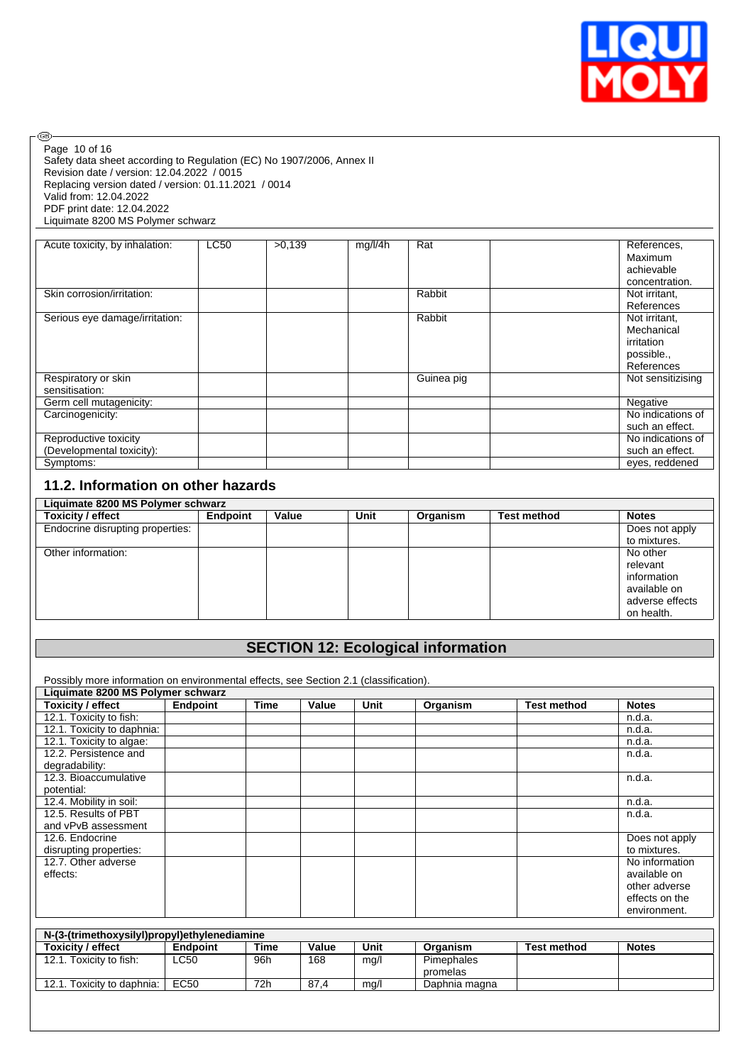

Safety data sheet according to Regulation (EC) No 1907/2006, Annex II Revision date / version: 12.04.2022 / 0015 Replacing version dated / version: 01.11.2021 / 0014 Valid from: 12.04.2022 PDF print date: 12.04.2022 Liquimate 8200 MS Polymer schwarz Page 10 of 16

 $\circledcirc$ 

| Acute toxicity, by inhalation: | <b>LC50</b> | >0.139 | mg/l/4h | Rat        | References,       |
|--------------------------------|-------------|--------|---------|------------|-------------------|
|                                |             |        |         |            | Maximum           |
|                                |             |        |         |            | achievable        |
|                                |             |        |         |            | concentration.    |
| Skin corrosion/irritation:     |             |        |         | Rabbit     | Not irritant,     |
|                                |             |        |         |            | References        |
| Serious eye damage/irritation: |             |        |         | Rabbit     | Not irritant,     |
|                                |             |        |         |            | Mechanical        |
|                                |             |        |         |            | irritation        |
|                                |             |        |         |            | possible.,        |
|                                |             |        |         |            | References        |
| Respiratory or skin            |             |        |         | Guinea pig | Not sensitizising |
| sensitisation:                 |             |        |         |            |                   |
| Germ cell mutagenicity:        |             |        |         |            | Negative          |
| Carcinogenicity:               |             |        |         |            | No indications of |
|                                |             |        |         |            | such an effect.   |
| Reproductive toxicity          |             |        |         |            | No indications of |
| (Developmental toxicity):      |             |        |         |            | such an effect.   |
| Symptoms:                      |             |        |         |            | eves, reddened    |

## **11.2. Information on other hazards**

| Liquimate 8200 MS Polymer schwarz |          |       |      |          |                    |                 |  |  |
|-----------------------------------|----------|-------|------|----------|--------------------|-----------------|--|--|
| Toxicity / effect                 | Endpoint | Value | Unit | Organism | <b>Test method</b> | <b>Notes</b>    |  |  |
| Endocrine disrupting properties:  |          |       |      |          |                    | Does not apply  |  |  |
|                                   |          |       |      |          |                    | to mixtures.    |  |  |
| Other information:                |          |       |      |          |                    | No other        |  |  |
|                                   |          |       |      |          |                    | relevant        |  |  |
|                                   |          |       |      |          |                    | information     |  |  |
|                                   |          |       |      |          |                    | available on    |  |  |
|                                   |          |       |      |          |                    | adverse effects |  |  |
|                                   |          |       |      |          |                    | on health.      |  |  |

## **SECTION 12: Ecological information**

Possibly more information on environmental effects, see Section 2.1 (classification).

| Liquimate 8200 MS Polymer schwarz |          |             |       |      |          |                    |                |  |
|-----------------------------------|----------|-------------|-------|------|----------|--------------------|----------------|--|
| <b>Toxicity / effect</b>          | Endpoint | <b>Time</b> | Value | Unit | Organism | <b>Test method</b> | <b>Notes</b>   |  |
| 12.1. Toxicity to fish:           |          |             |       |      |          |                    | n.d.a.         |  |
| 12.1. Toxicity to daphnia:        |          |             |       |      |          |                    | n.d.a.         |  |
| 12.1. Toxicity to algae:          |          |             |       |      |          |                    | n.d.a.         |  |
| 12.2. Persistence and             |          |             |       |      |          |                    | n.d.a.         |  |
| degradability:                    |          |             |       |      |          |                    |                |  |
| 12.3. Bioaccumulative             |          |             |       |      |          |                    | n.d.a.         |  |
| potential:                        |          |             |       |      |          |                    |                |  |
| 12.4. Mobility in soil:           |          |             |       |      |          |                    | n.d.a.         |  |
| 12.5. Results of PBT              |          |             |       |      |          |                    | n.d.a.         |  |
| and vPvB assessment               |          |             |       |      |          |                    |                |  |
| 12.6. Endocrine                   |          |             |       |      |          |                    | Does not apply |  |
| disrupting properties:            |          |             |       |      |          |                    | to mixtures.   |  |
| 12.7. Other adverse               |          |             |       |      |          |                    | No information |  |
| effects:                          |          |             |       |      |          |                    | available on   |  |
|                                   |          |             |       |      |          |                    | other adverse  |  |
|                                   |          |             |       |      |          |                    | effects on the |  |
|                                   |          |             |       |      |          |                    | environment.   |  |

| N-(3-(trimethoxysilyl)propyl)ethylenediamine |                 |      |       |      |                   |                    |              |  |  |
|----------------------------------------------|-----------------|------|-------|------|-------------------|--------------------|--------------|--|--|
| <b>Toxicity / effect</b>                     | <b>Endpoint</b> | Time | Value | Unit | Organism          | <b>Test method</b> | <b>Notes</b> |  |  |
| 12.1. Toxicity to fish:                      | LC50            | 96h  | 168   | mg/l | <b>Pimephales</b> |                    |              |  |  |
|                                              |                 |      |       |      | promelas          |                    |              |  |  |
| 12.1. Toxicity to daphnia:                   | EC50            | 72h  | 87.4  | mg/l | Daphnia magna     |                    |              |  |  |
|                                              |                 |      |       |      |                   |                    |              |  |  |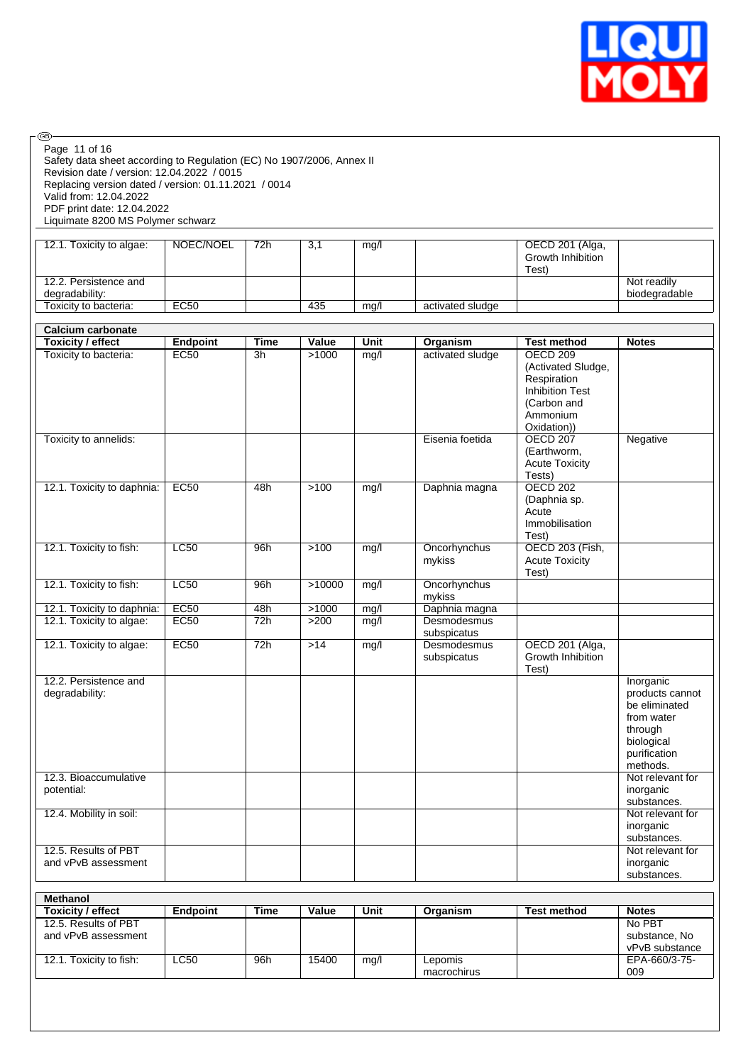

| <b>®</b><br>Page 11 of 16<br>Safety data sheet according to Regulation (EC) No 1907/2006, Annex II<br>Revision date / version: 12.04.2022 / 0015<br>Replacing version dated / version: 01.11.2021 / 0014<br>Valid from: 12.04.2022<br>PDF print date: 12.04.2022<br>Liquimate 8200 MS Polymer schwarz |                 |             |        |      |                                     |                                                                                                                                                 |                                                                                                                  |
|-------------------------------------------------------------------------------------------------------------------------------------------------------------------------------------------------------------------------------------------------------------------------------------------------------|-----------------|-------------|--------|------|-------------------------------------|-------------------------------------------------------------------------------------------------------------------------------------------------|------------------------------------------------------------------------------------------------------------------|
| 12.1. Toxicity to algae:                                                                                                                                                                                                                                                                              | NOEC/NOEL       | 72h         | 3,1    | mg/l |                                     | OECD 201 (Alga,<br>Growth Inhibition<br>Test)                                                                                                   |                                                                                                                  |
| 12.2. Persistence and<br>degradability:                                                                                                                                                                                                                                                               |                 |             |        |      |                                     |                                                                                                                                                 | Not readily<br>biodegradable                                                                                     |
| Toxicity to bacteria:                                                                                                                                                                                                                                                                                 | <b>EC50</b>     |             | 435    | mg/l | activated sludge                    |                                                                                                                                                 |                                                                                                                  |
| <b>Calcium carbonate</b><br><b>Toxicity / effect</b>                                                                                                                                                                                                                                                  | <b>Endpoint</b> | <b>Time</b> | Value  | Unit | Organism                            | <b>Test method</b>                                                                                                                              | <b>Notes</b>                                                                                                     |
| Toxicity to bacteria:<br>Toxicity to annelids:                                                                                                                                                                                                                                                        | <b>EC50</b>     | 3h          | >1000  | mg/l | activated sludge<br>Eisenia foetida | OECD <sub>209</sub><br>(Activated Sludge,<br>Respiration<br><b>Inhibition Test</b><br>(Carbon and<br>Ammonium<br>Oxidation))<br><b>OECD 207</b> | Negative                                                                                                         |
|                                                                                                                                                                                                                                                                                                       |                 |             |        |      |                                     | (Earthworm,<br><b>Acute Toxicity</b><br>Tests)                                                                                                  |                                                                                                                  |
| 12.1. Toxicity to daphnia:                                                                                                                                                                                                                                                                            | <b>EC50</b>     | 48h         | $>100$ | mg/l | Daphnia magna                       | <b>OECD 202</b><br>(Daphnia sp.<br>Acute<br>Immobilisation<br>Test)                                                                             |                                                                                                                  |
| 12.1. Toxicity to fish:                                                                                                                                                                                                                                                                               | <b>LC50</b>     | 96h         | >100   | mg/l | Oncorhynchus<br>mykiss              | <b>OECD 203 (Fish,</b><br><b>Acute Toxicity</b><br>Test)                                                                                        |                                                                                                                  |
| 12.1. Toxicity to fish:                                                                                                                                                                                                                                                                               | <b>LC50</b>     | 96h         | >10000 | mg/l | Oncorhynchus<br>mykiss              |                                                                                                                                                 |                                                                                                                  |
| 12.1. Toxicity to daphnia:                                                                                                                                                                                                                                                                            | <b>EC50</b>     | 48h         | >1000  | mg/l | Daphnia magna                       |                                                                                                                                                 |                                                                                                                  |
| 12.1. Toxicity to algae:                                                                                                                                                                                                                                                                              | <b>EC50</b>     | 72h         | $>200$ | mg/l | Desmodesmus<br>subspicatus          |                                                                                                                                                 |                                                                                                                  |
| 12.1. Toxicity to algae:                                                                                                                                                                                                                                                                              | EC50            | 72h         | $>14$  | mg/l | Desmodesmus<br>subspicatus          | OECD 201 (Alga,<br>Growth Inhibition<br>Test)                                                                                                   |                                                                                                                  |
| 12.2. Persistence and<br>degradability:                                                                                                                                                                                                                                                               |                 |             |        |      |                                     |                                                                                                                                                 | Inorganic<br>products cannot<br>be eliminated<br>from water<br>through<br>biological<br>purification<br>methods. |
| 12.3. Bioaccumulative<br>potential:                                                                                                                                                                                                                                                                   |                 |             |        |      |                                     |                                                                                                                                                 | Not relevant for<br>inorganic<br>substances.                                                                     |
| 12.4. Mobility in soil:                                                                                                                                                                                                                                                                               |                 |             |        |      |                                     |                                                                                                                                                 | Not relevant for<br>inorganic<br>substances.                                                                     |
| 12.5. Results of PBT<br>and vPvB assessment                                                                                                                                                                                                                                                           |                 |             |        |      |                                     |                                                                                                                                                 | Not relevant for<br>inorganic<br>substances.                                                                     |
| <b>Methanol</b>                                                                                                                                                                                                                                                                                       |                 |             |        |      |                                     |                                                                                                                                                 |                                                                                                                  |
| <b>Toxicity / effect</b><br>12.5. Results of PBT<br>and vPvB assessment                                                                                                                                                                                                                               | Endpoint        | <b>Time</b> | Value  | Unit | Organism                            | <b>Test method</b>                                                                                                                              | <b>Notes</b><br>No PBT<br>substance, No                                                                          |
| 12.1. Toxicity to fish:                                                                                                                                                                                                                                                                               | LC50            | 96h         | 15400  | mg/l | Lepomis<br>macrochirus              |                                                                                                                                                 | vPvB substance<br>EPA-660/3-75-<br>009                                                                           |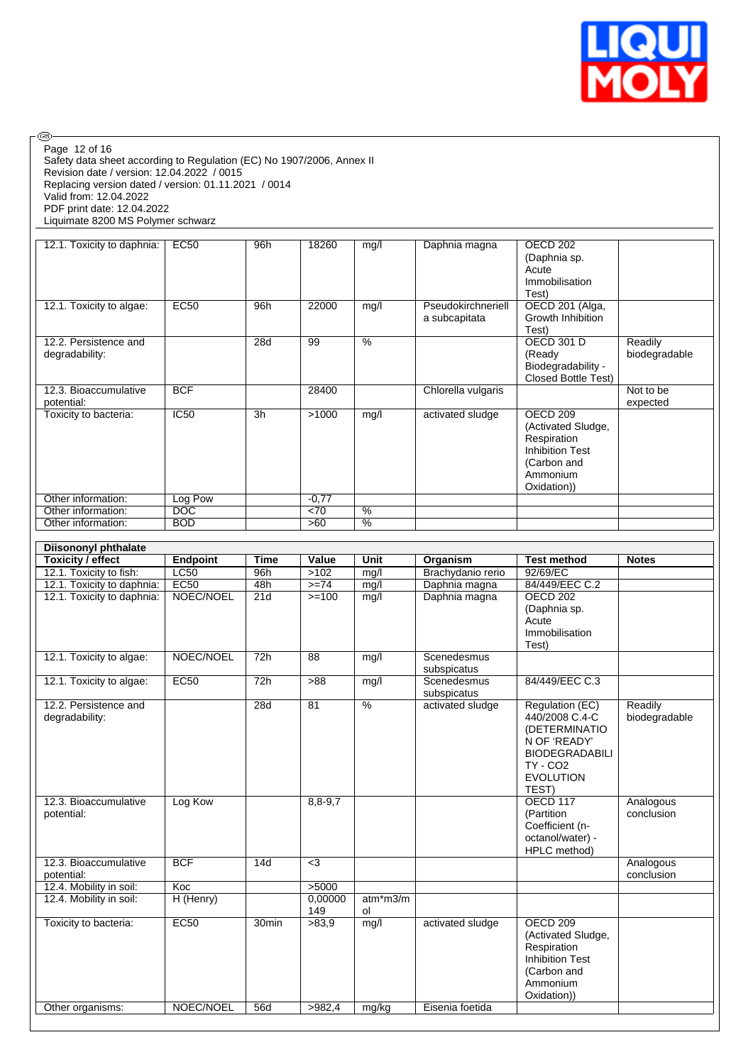

Safety data sheet according to Regulation (EC) No 1907/2006, Annex II Revision date / version: 12.04.2022 / 0015 Replacing version dated / version: 01.11.2021 / 0014 Valid from: 12.04.2022 PDF print date: 12.04.2022 Liquimate 8200 MS Polymer schwarz Page 12 of 16

 $\circledcirc$ 

| 12.1. Toxicity to daphnia:              | EC50       | 96h | 18260   | mg/l          | Daphnia magna                       | OECD 202<br>(Daphnia sp.<br>Acute<br>Immobilisation<br>Test)                                                                 |                          |
|-----------------------------------------|------------|-----|---------|---------------|-------------------------------------|------------------------------------------------------------------------------------------------------------------------------|--------------------------|
| 12.1. Toxicity to algae:                | EC50       | 96h | 22000   | mg/l          | Pseudokirchneriell<br>a subcapitata | OECD 201 (Alga,<br>Growth Inhibition<br>Test)                                                                                |                          |
| 12.2. Persistence and<br>degradability: |            | 28d | 99      | $\%$          |                                     | <b>OECD 301 D</b><br>(Ready<br>Biodegradability -<br><b>Closed Bottle Test)</b>                                              | Readily<br>biodegradable |
| 12.3. Bioaccumulative<br>potential:     | <b>BCF</b> |     | 28400   |               | Chlorella vulgaris                  |                                                                                                                              | Not to be<br>expected    |
| Toxicity to bacteria:                   | IC50       | 3h  | >1000   | mg/l          | activated sludge                    | OECD <sub>209</sub><br>(Activated Sludge,<br>Respiration<br><b>Inhibition Test</b><br>(Carbon and<br>Ammonium<br>Oxidation)) |                          |
| Other information:                      | Log Pow    |     | $-0,77$ |               |                                     |                                                                                                                              |                          |
| Other information:                      | DOC        |     | < 70    | %             |                                     |                                                                                                                              |                          |
| Other information:                      | <b>BOD</b> |     | >60     | $\frac{9}{6}$ |                                     |                                                                                                                              |                          |

| <b>Diisononyl phthalate</b> |                 |                   |                 |               |                   |                        |               |
|-----------------------------|-----------------|-------------------|-----------------|---------------|-------------------|------------------------|---------------|
| <b>Toxicity / effect</b>    | <b>Endpoint</b> | <b>Time</b>       | Value           | Unit          | Organism          | <b>Test method</b>     | <b>Notes</b>  |
| 12.1. Toxicity to fish:     | LC50            | 96h               | >102            | mg/l          | Brachydanio rerio | 92/69/EC               |               |
| 12.1. Toxicity to daphnia:  | <b>EC50</b>     | 48h               | $>= 74$         | mg/l          | Daphnia magna     | 84/449/EEC C.2         |               |
| 12.1. Toxicity to daphnia:  | NOEC/NOEL       | 21d               | $>=100$         | mg/l          | Daphnia magna     | <b>OECD 202</b>        |               |
|                             |                 |                   |                 |               |                   | (Daphnia sp.           |               |
|                             |                 |                   |                 |               |                   | Acute                  |               |
|                             |                 |                   |                 |               |                   | Immobilisation         |               |
|                             |                 |                   |                 |               |                   | Test)                  |               |
| 12.1. Toxicity to algae:    | NOEC/NOEL       | 72h               | $\overline{88}$ | mg/l          | Scenedesmus       |                        |               |
|                             |                 |                   |                 |               | subspicatus       |                        |               |
| 12.1. Toxicity to algae:    | <b>EC50</b>     | 72h               | >88             | mg/l          | Scenedesmus       | 84/449/EEC C.3         |               |
|                             |                 |                   |                 |               | subspicatus       |                        |               |
| 12.2. Persistence and       |                 | 28d               | 81              | $\frac{0}{6}$ | activated sludge  | Regulation (EC)        | Readily       |
| degradability:              |                 |                   |                 |               |                   | 440/2008 C.4-C         | biodegradable |
|                             |                 |                   |                 |               |                   | (DETERMINATIO          |               |
|                             |                 |                   |                 |               |                   | N OF 'READY'           |               |
|                             |                 |                   |                 |               |                   | <b>BIODEGRADABILI</b>  |               |
|                             |                 |                   |                 |               |                   | <b>TY - CO2</b>        |               |
|                             |                 |                   |                 |               |                   | <b>EVOLUTION</b>       |               |
|                             |                 |                   |                 |               |                   | TEST)                  |               |
| 12.3. Bioaccumulative       | Log Kow         |                   | $8,8-9,7$       |               |                   | <b>OECD 117</b>        | Analogous     |
| potential:                  |                 |                   |                 |               |                   | (Partition             | conclusion    |
|                             |                 |                   |                 |               |                   | Coefficient (n-        |               |
|                             |                 |                   |                 |               |                   | octanol/water) -       |               |
|                             |                 |                   |                 |               |                   | HPLC method)           |               |
| 12.3. Bioaccumulative       | <b>BCF</b>      | 14d               | $3$             |               |                   |                        | Analogous     |
| potential:                  |                 |                   |                 |               |                   |                        | conclusion    |
| 12.4. Mobility in soil:     | Koc             |                   | >5000           |               |                   |                        |               |
| 12.4. Mobility in soil:     | H (Henry)       |                   | 0,00000         | $atm*m3/m$    |                   |                        |               |
|                             |                 |                   | 149             | ol            |                   | <b>OECD 209</b>        |               |
| Toxicity to bacteria:       | EC50            | 30 <sub>min</sub> | >83.9           | mg/l          | activated sludge  |                        |               |
|                             |                 |                   |                 |               |                   | (Activated Sludge,     |               |
|                             |                 |                   |                 |               |                   | Respiration            |               |
|                             |                 |                   |                 |               |                   | <b>Inhibition Test</b> |               |
|                             |                 |                   |                 |               |                   | (Carbon and            |               |
|                             |                 |                   |                 |               |                   | Ammonium               |               |
|                             |                 | 56d               |                 |               | Eisenia foetida   | Oxidation))            |               |
| Other organisms:            | NOEC/NOEL       |                   | >982,4          | mg/kg         |                   |                        |               |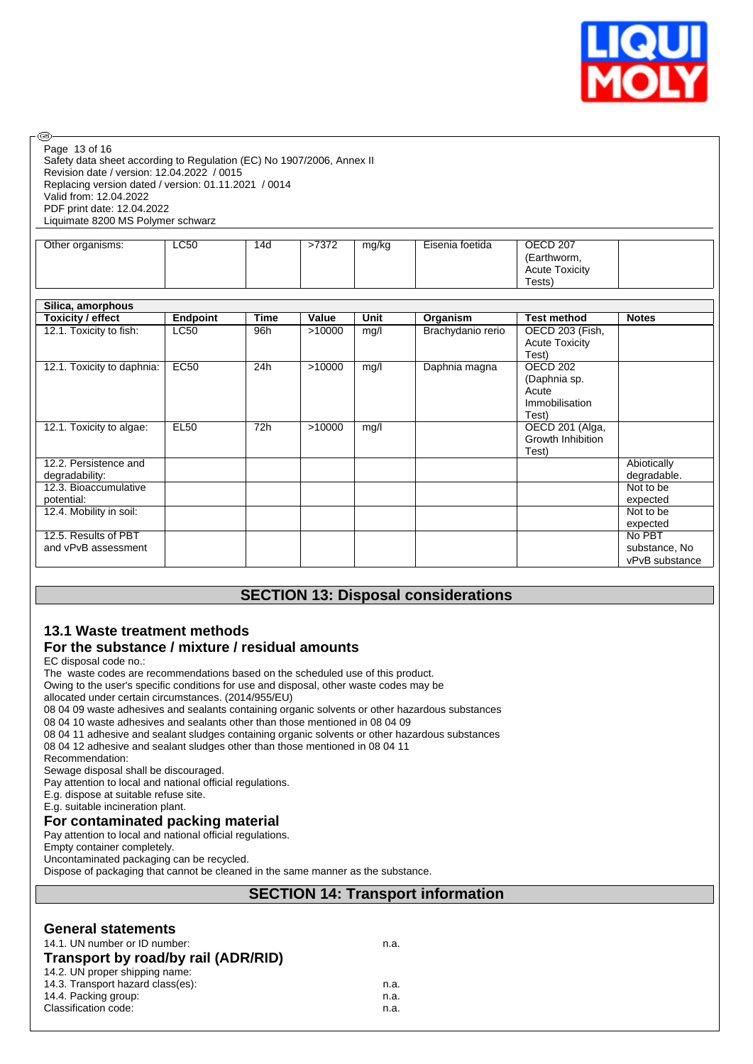

| Page 13 of 16                                                         |
|-----------------------------------------------------------------------|
| Safety data sheet according to Regulation (EC) No 1907/2006, Annex II |
| Revision date / version: 12.04.2022 / 0015                            |
| Replacing version dated / version: 01.11.2021 / 0014                  |
| Valid from: 12.04.2022                                                |
| PDF print date: 12.04.2022                                            |
| Liquimate 8200 MS Polymer schwarz                                     |
|                                                                       |

| Other organisms: | LC50 | 14d | >7372 | mg/kg | Eisenia foetida | OECD <sub>207</sub>   |
|------------------|------|-----|-------|-------|-----------------|-----------------------|
|                  |      |     |       |       |                 | (Earthworm,           |
|                  |      |     |       |       |                 | <b>Acute Toxicity</b> |
|                  |      |     |       |       |                 | Tests)                |

| Silica, amorphous          |                 |      |        |             |                   |                       |                |
|----------------------------|-----------------|------|--------|-------------|-------------------|-----------------------|----------------|
| Toxicity / effect          | <b>Endpoint</b> | Time | Value  | <b>Unit</b> | Organism          | <b>Test method</b>    | <b>Notes</b>   |
| 12.1. Toxicity to fish:    | <b>LC50</b>     | 96h  | >10000 | mg/l        | Brachydanio rerio | OECD 203 (Fish,       |                |
|                            |                 |      |        |             |                   | <b>Acute Toxicity</b> |                |
|                            |                 |      |        |             |                   | Test)                 |                |
| 12.1. Toxicity to daphnia: | EC50            | 24h  | >10000 | mg/l        | Daphnia magna     | OECD <sub>202</sub>   |                |
|                            |                 |      |        |             |                   | (Daphnia sp.          |                |
|                            |                 |      |        |             |                   | Acute                 |                |
|                            |                 |      |        |             |                   | Immobilisation        |                |
|                            |                 |      |        |             |                   | Test)                 |                |
| 12.1. Toxicity to algae:   | <b>EL50</b>     | 72h  | >10000 | mg/l        |                   | OECD 201 (Alga,       |                |
|                            |                 |      |        |             |                   | Growth Inhibition     |                |
|                            |                 |      |        |             |                   | Test)                 |                |
| 12.2. Persistence and      |                 |      |        |             |                   |                       | Abiotically    |
| degradability:             |                 |      |        |             |                   |                       | degradable.    |
| 12.3. Bioaccumulative      |                 |      |        |             |                   |                       | Not to be      |
| potential:                 |                 |      |        |             |                   |                       | expected       |
| 12.4. Mobility in soil:    |                 |      |        |             |                   |                       | Not to be      |
|                            |                 |      |        |             |                   |                       | expected       |
| 12.5. Results of PBT       |                 |      |        |             |                   |                       | No PBT         |
| and vPvB assessment        |                 |      |        |             |                   |                       | substance, No  |
|                            |                 |      |        |             |                   |                       | vPvB substance |

## **SECTION 13: Disposal considerations**

# **13.1 Waste treatment methods**

## **For the substance / mixture / residual amounts**

EC disposal code no.:

.<br>கு

The waste codes are recommendations based on the scheduled use of this product.

Owing to the user's specific conditions for use and disposal, other waste codes may be

allocated under certain circumstances. (2014/955/EU)

08 04 09 waste adhesives and sealants containing organic solvents or other hazardous substances

08 04 10 waste adhesives and sealants other than those mentioned in 08 04 09

08 04 11 adhesive and sealant sludges containing organic solvents or other hazardous substances

08 04 12 adhesive and sealant sludges other than those mentioned in 08 04 11

Recommendation:

Sewage disposal shall be discouraged.

Pay attention to local and national official regulations.

E.g. dispose at suitable refuse site.

E.g. suitable incineration plant.

## **For contaminated packing material**

Pay attention to local and national official regulations.

Empty container completely.

Uncontaminated packaging can be recycled.

Dispose of packaging that cannot be cleaned in the same manner as the substance.

## **SECTION 14: Transport information**

#### **General statements**

| 14.1. UN number or ID number:       | n.a. |
|-------------------------------------|------|
| Transport by road/by rail (ADR/RID) |      |
| 14.2. UN proper shipping name:      |      |
| 14.3. Transport hazard class(es):   | n.a. |
| 14.4. Packing group:                | n.a. |
| Classification code:                | n.a. |
|                                     |      |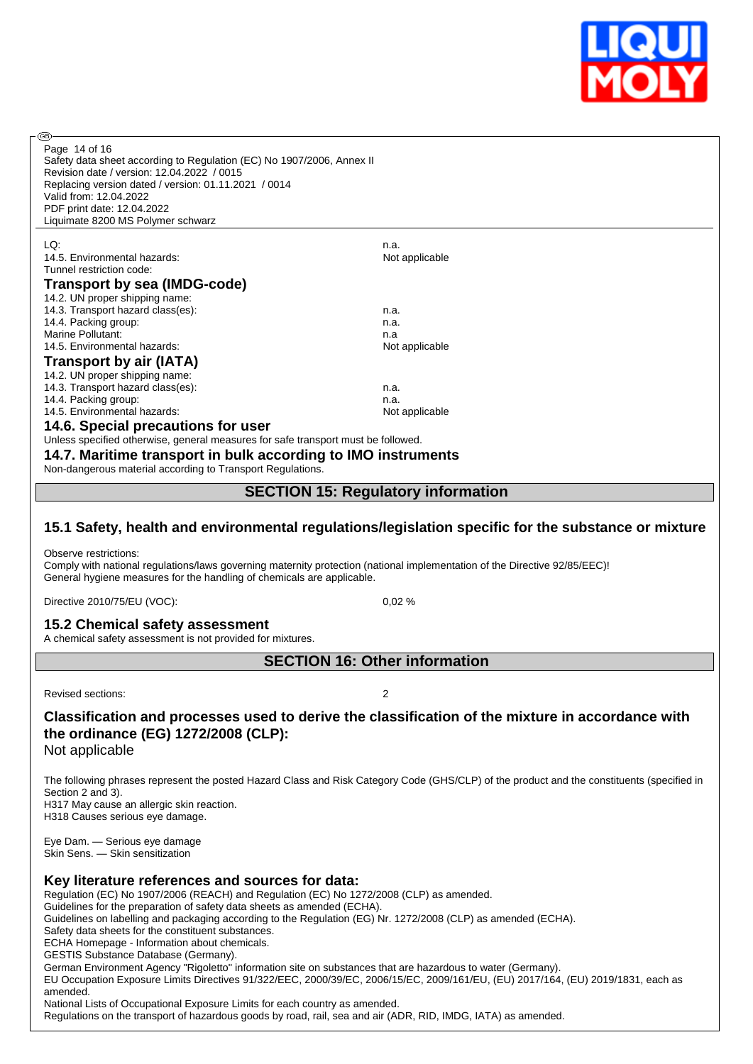

| @ි                                                                                                                                                                                                                                                                                                                                                                                                                                                                                   |                                           |  |  |  |  |
|--------------------------------------------------------------------------------------------------------------------------------------------------------------------------------------------------------------------------------------------------------------------------------------------------------------------------------------------------------------------------------------------------------------------------------------------------------------------------------------|-------------------------------------------|--|--|--|--|
| Page 14 of 16<br>Safety data sheet according to Regulation (EC) No 1907/2006, Annex II<br>Revision date / version: 12.04.2022 / 0015<br>Replacing version dated / version: 01.11.2021 / 0014                                                                                                                                                                                                                                                                                         |                                           |  |  |  |  |
| Valid from: 12.04.2022                                                                                                                                                                                                                                                                                                                                                                                                                                                               |                                           |  |  |  |  |
| PDF print date: 12.04.2022                                                                                                                                                                                                                                                                                                                                                                                                                                                           |                                           |  |  |  |  |
| Liquimate 8200 MS Polymer schwarz                                                                                                                                                                                                                                                                                                                                                                                                                                                    |                                           |  |  |  |  |
| LQ:                                                                                                                                                                                                                                                                                                                                                                                                                                                                                  | n.a.                                      |  |  |  |  |
| 14.5. Environmental hazards:                                                                                                                                                                                                                                                                                                                                                                                                                                                         | Not applicable                            |  |  |  |  |
| Tunnel restriction code:                                                                                                                                                                                                                                                                                                                                                                                                                                                             |                                           |  |  |  |  |
| Transport by sea (IMDG-code)                                                                                                                                                                                                                                                                                                                                                                                                                                                         |                                           |  |  |  |  |
| 14.2. UN proper shipping name:                                                                                                                                                                                                                                                                                                                                                                                                                                                       |                                           |  |  |  |  |
| 14.3. Transport hazard class(es):                                                                                                                                                                                                                                                                                                                                                                                                                                                    | n.a.                                      |  |  |  |  |
| 14.4. Packing group:<br>Marine Pollutant:                                                                                                                                                                                                                                                                                                                                                                                                                                            | n.a.                                      |  |  |  |  |
| 14.5. Environmental hazards:                                                                                                                                                                                                                                                                                                                                                                                                                                                         | n.a<br>Not applicable                     |  |  |  |  |
| Transport by air (IATA)                                                                                                                                                                                                                                                                                                                                                                                                                                                              |                                           |  |  |  |  |
| 14.2. UN proper shipping name:                                                                                                                                                                                                                                                                                                                                                                                                                                                       |                                           |  |  |  |  |
| 14.3. Transport hazard class(es):                                                                                                                                                                                                                                                                                                                                                                                                                                                    | n.a.                                      |  |  |  |  |
| 14.4. Packing group:                                                                                                                                                                                                                                                                                                                                                                                                                                                                 | n.a.                                      |  |  |  |  |
| 14.5. Environmental hazards:                                                                                                                                                                                                                                                                                                                                                                                                                                                         | Not applicable                            |  |  |  |  |
| 14.6. Special precautions for user                                                                                                                                                                                                                                                                                                                                                                                                                                                   |                                           |  |  |  |  |
| Unless specified otherwise, general measures for safe transport must be followed.                                                                                                                                                                                                                                                                                                                                                                                                    |                                           |  |  |  |  |
| 14.7. Maritime transport in bulk according to IMO instruments                                                                                                                                                                                                                                                                                                                                                                                                                        |                                           |  |  |  |  |
| Non-dangerous material according to Transport Regulations.                                                                                                                                                                                                                                                                                                                                                                                                                           |                                           |  |  |  |  |
|                                                                                                                                                                                                                                                                                                                                                                                                                                                                                      |                                           |  |  |  |  |
|                                                                                                                                                                                                                                                                                                                                                                                                                                                                                      | <b>SECTION 15: Regulatory information</b> |  |  |  |  |
| 15.1 Safety, health and environmental regulations/legislation specific for the substance or mixture<br>Observe restrictions:<br>Comply with national regulations/laws governing maternity protection (national implementation of the Directive 92/85/EEC)!<br>General hygiene measures for the handling of chemicals are applicable.                                                                                                                                                 |                                           |  |  |  |  |
| Directive 2010/75/EU (VOC):                                                                                                                                                                                                                                                                                                                                                                                                                                                          | 0,02%                                     |  |  |  |  |
| 15.2 Chemical safety assessment<br>A chemical safety assessment is not provided for mixtures.                                                                                                                                                                                                                                                                                                                                                                                        |                                           |  |  |  |  |
| <b>SECTION 16: Other information</b>                                                                                                                                                                                                                                                                                                                                                                                                                                                 |                                           |  |  |  |  |
|                                                                                                                                                                                                                                                                                                                                                                                                                                                                                      |                                           |  |  |  |  |
| Revised sections:                                                                                                                                                                                                                                                                                                                                                                                                                                                                    |                                           |  |  |  |  |
| Classification and processes used to derive the classification of the mixture in accordance with<br>the ordinance (EG) 1272/2008 (CLP):<br>Not applicable                                                                                                                                                                                                                                                                                                                            |                                           |  |  |  |  |
| The following phrases represent the posted Hazard Class and Risk Category Code (GHS/CLP) of the product and the constituents (specified in<br>Section 2 and 3).<br>H317 May cause an allergic skin reaction.<br>H318 Causes serious eye damage.                                                                                                                                                                                                                                      |                                           |  |  |  |  |
| Eye Dam. - Serious eye damage<br>Skin Sens. - Skin sensitization                                                                                                                                                                                                                                                                                                                                                                                                                     |                                           |  |  |  |  |
| Key literature references and sources for data:<br>Regulation (EC) No 1907/2006 (REACH) and Regulation (EC) No 1272/2008 (CLP) as amended.<br>Guidelines for the preparation of safety data sheets as amended (ECHA).<br>Guidelines on labelling and packaging according to the Regulation (EG) Nr. 1272/2008 (CLP) as amended (ECHA).<br>Safety data sheets for the constituent substances.<br>ECHA Homepage - Information about chemicals.<br>GESTIS Substance Database (Germany). |                                           |  |  |  |  |

German Environment Agency "Rigoletto" information site on substances that are hazardous to water (Germany).

EU Occupation Exposure Limits Directives 91/322/EEC, 2000/39/EC, 2006/15/EC, 2009/161/EU, (EU) 2017/164, (EU) 2019/1831, each as amended.

National Lists of Occupational Exposure Limits for each country as amended.

Regulations on the transport of hazardous goods by road, rail, sea and air (ADR, RID, IMDG, IATA) as amended.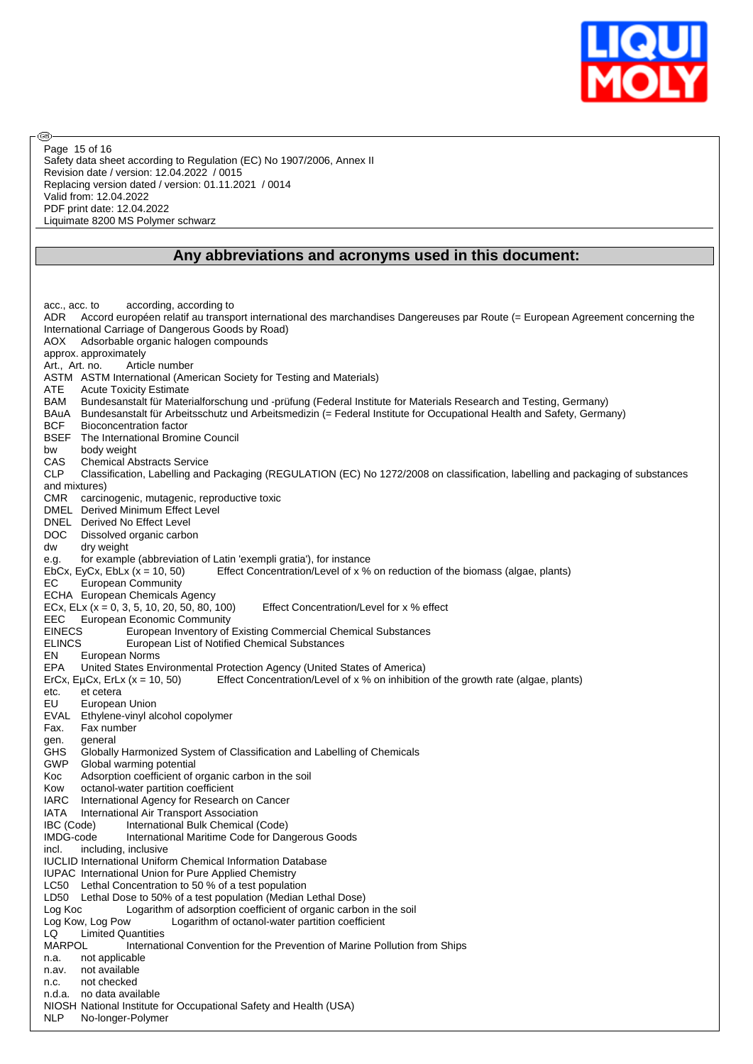

Safety data sheet according to Regulation (EC) No 1907/2006, Annex II Revision date / version: 12.04.2022 / 0015 Replacing version dated / version: 01.11.2021 / 0014 Valid from: 12.04.2022 PDF print date: 12.04.2022 Liquimate 8200 MS Polymer schwarz Page 15 of 16

൹

#### **Any abbreviations and acronyms used in this document:**

acc., acc. to according, according to ADR Accord européen relatif au transport international des marchandises Dangereuses par Route (= European Agreement concerning the International Carriage of Dangerous Goods by Road) AOX Adsorbable organic halogen compounds approx. approximately Art., Art. no. Article number ASTM ASTM International (American Society for Testing and Materials) ATE Acute Toxicity Estimate BAM Bundesanstalt für Materialforschung und -prüfung (Federal Institute for Materials Research and Testing, Germany) BAuA Bundesanstalt für Arbeitsschutz und Arbeitsmedizin (= Federal Institute for Occupational Health and Safety, Germany) BCF Bioconcentration factor BSEF The International Bromine Council bw body weight CAS Chemical Abstracts Service CLP Classification, Labelling and Packaging (REGULATION (EC) No 1272/2008 on classification, labelling and packaging of substances and mixtures) CMR carcinogenic, mutagenic, reproductive toxic DMEL Derived Minimum Effect Level DNEL Derived No Effect Level DOC Dissolved organic carbon<br>dw dry weight dry weight e.g. for example (abbreviation of Latin 'exempli gratia'), for instance<br>EbCx, EyCx, EbLx (x = 10, 50) Effect Concentration/Level of x % Effect Concentration/Level of x % on reduction of the biomass (algae, plants) EC European Community ECHA European Chemicals Agency ECx, ELx ( $x = 0, 3, 5, 10, 20, 50, 80, 100$ ) Effect Concentration/Level for x % effect EEC European Economic Community<br>EINECS European Inventory of European Inventory of Existing Commercial Chemical Substances ELINCS European List of Notified Chemical Substances EN European Norms EPA United States Environmental Protection Agency (United States of America) ErCx, EµCx, ErLx (x = 10, 50) Effect Concentration/Level of x % on inhibition of the growth rate (algae, plants) etc. et cetera EU European Union EVAL Ethylene-vinyl alcohol copolymer Fax. Fax number gen. general<br>GHS Globally Globally Harmonized System of Classification and Labelling of Chemicals GWP Global warming potential Koc Adsorption coefficient of organic carbon in the soil Kow octanol-water partition coefficient IARC International Agency for Research on Cancer IATA International Air Transport Association IBC (Code) International Bulk Chemical (Code) IMDG-code International Maritime Code for Dangerous Goods incl. including, inclusive IUCLID International Uniform Chemical Information Database IUPAC International Union for Pure Applied Chemistry LC50 Lethal Concentration to 50 % of a test population LD50 Lethal Dose to 50% of a test population (Median Lethal Dose) Log Koc Logarithm of adsorption coefficient of organic carbon in the soil Log Kow, Log Pow Logarithm of octanol-water partition coefficient LQ Limited Quantities MARPOL International Convention for the Prevention of Marine Pollution from Ships n.a. not applicable n.av. not available n.c. not checked n.d.a. no data available NIOSH National Institute for Occupational Safety and Health (USA) NLP No-longer-Polymer